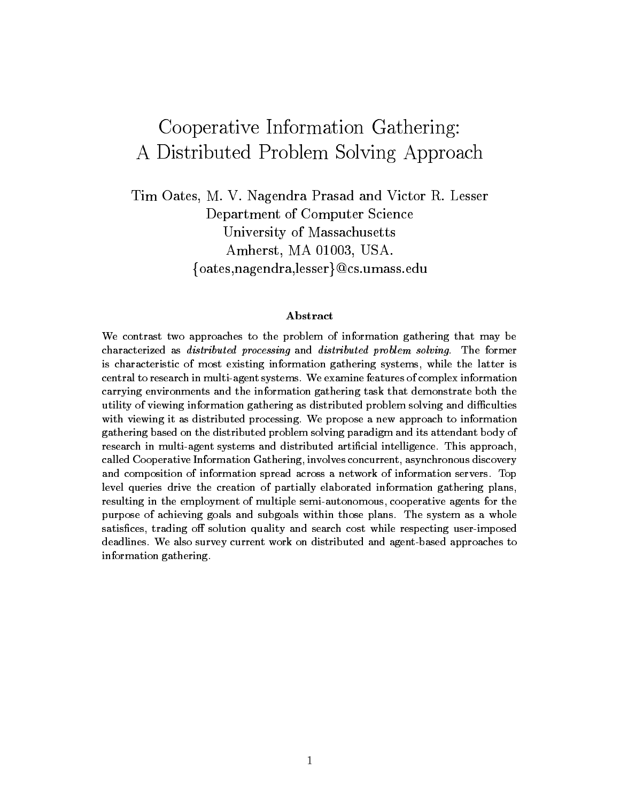# Cooperative Information Gathering: A Distributed Problem Solving Approach

Tim Oates, M. V. Nagendra Prasad and Victor R. Lesser Department of Computer Science University of Massachusetts Amherst, MA 01003, USA.  ${oates, nagenta, lesser}$ @cs.umass.edu

## Abstract

we contrast the weblowing to the plochem of information gathering that may be characterized as distributed problem as distributed and distributed problem solving. The former solving solvin is characteristic of most existing information gathering systems, while the latter is a latter in the latter i central to research in multi-agent systems. We examine features of complex information carrying environments and the information gathering task that demonstrate both the utility of viewing information gathering as distributed problem solving and diculties with viewing it we given become processing. We propose a new approach to information gathering based on the distributed problem solving paradigm and its attendant body of research in multi-agent and distributed and distributed articles and distributed articles. The distributed article called Cooperative Information Gathering, involves concurrent, asynchronous discovery and composition of information spread and across and a network of information servers. The server level queries drive the creation of partially elaborated information gathering plans, resulting in the employment of multiple semi-autonomous, cooperative agents for the purpose of achieving goals and subgoals within those plans. The system as <sup>a</sup> whole satisces, trading of a possesser and search cost where the respective respective search cost while deadlines. We also survey current work on distributed and agent-based approaches to information gathering.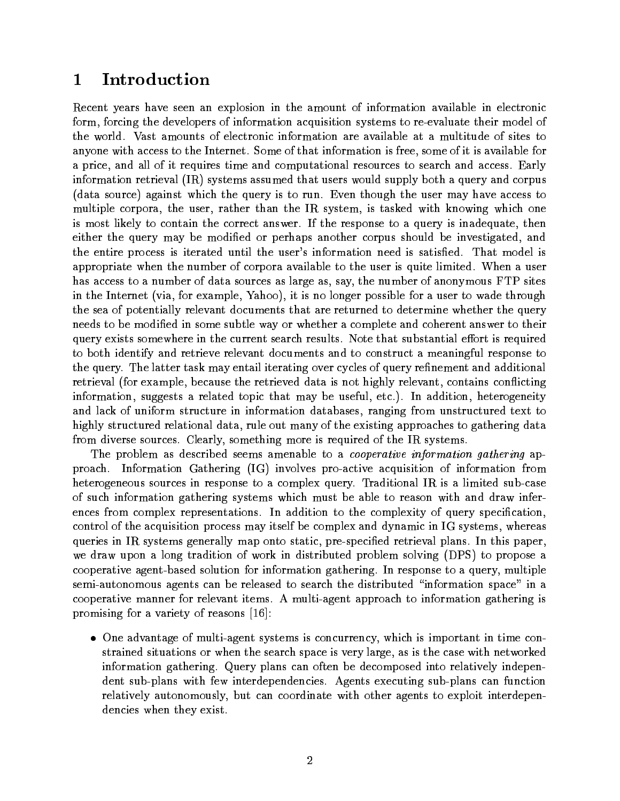## <sup>1</sup> Introduction

Recent years have seen an explosion in the amount of information available in electronic form, forcing the developers of information acquisition systems to re-evaluate their model of the world. Vast amounts of electronic information are available at a multitude of sites to anyone with access to the Internet. Some of that information is free, some of it is available for a price, and all of it requires time and computational resources to search and access. Early information retrieval (IR) systems assumed that users would supply both a query and corpus (data source) against which the query is to run. Even though the user may have access to multiple corpora, the user, rather than the IR system, is tasked with knowing which one is most likely to contain the correct answer. If the response to a query is inadequate, then either the query may be modied or perhaps another corpus should be investigated, and the entire process is iterated until the user's information need is satisfied. That model is appropriate when the number of corpora available to the user is quite limited. When a user has access to a number of data sources as large as, say, the number of anonymous FTP sites in the Internet (via, for example, Yahoo), it is no longer possible for a user to wade through the sea of potentially relevant documents that are returned to determine whether the query needs to be modied in some subtle way or whether a complete and coherent answer to their query exists somewhere in the current search results. Note that substantial effort is required to both identify and retrieve relevant documents and to construct a meaningful response to the query. The latter task may entail iterating over cycles of query renement and additional retrieval (for example, because the retrieved data is not highly relevant, contains conflicting information, suggests a related topic that may be useful, etc.). In addition, heterogeneity and lack of uniform structure in information databases, ranging from unstructured text to highly structured relational data, rule out many of the existing approaches to gathering data from diverse sources. Clearly, something more is required of the IR systems.

The problem as described seems amenable to a *cooperative information gathering* approach. Information Gathering (IG) involves pro-active acquisition of information from heterogeneous sources in response to a complex query. Traditional IR is a limited sub-case of such information gathering systems which must be able to reason with and draw inferences from complex representations. In addition to the complexity of query specication, control of the acquisition process may itself be complex and dynamic in IG systems, whereas queries in IR systems generally map onto static, pre-specied retrieval plans. In this paper, we draw upon a long tradition of work in distributed problem solving (DPS) to propose a cooperative agent-based solution for information gathering. In response to a query, multiple semi-autonomous agents can be released to search the distributed \information space" in a cooperative manner for relevant items. A multi-agent approach to information gathering is promising for a variety of reasons  $|16|$ :

 One advantage of multi-agent systems is concurrency, which is important in time constrained situations or when the search space is very large, as is the case with networked information gathering. Query plans can often be decomposed into relatively independent sub-plans with few interdependencies. Agents executing sub-plans can function relatively autonomously, but can coordinate with other agents to exploit interdependencies when they exist.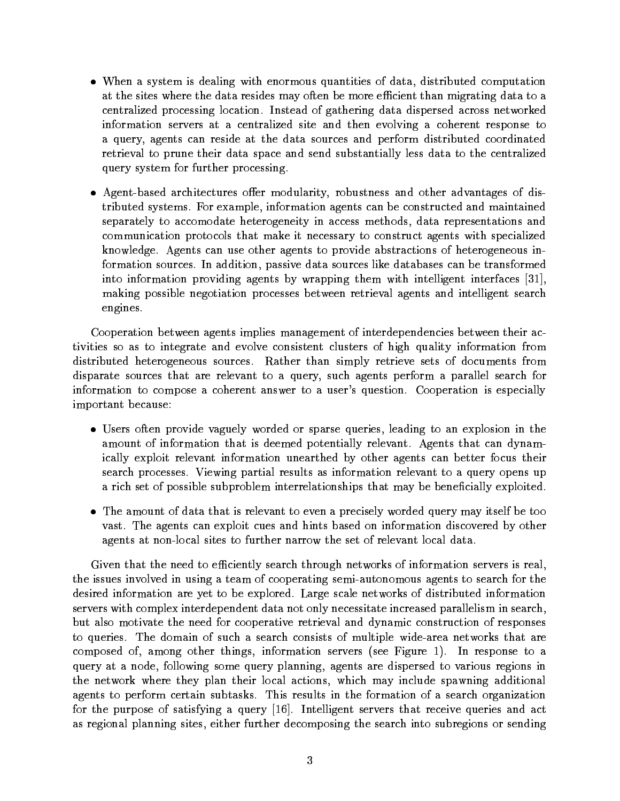- When a system is dealing with enormous quantities of data, distributed computation at the sites where the data resides may often be more efficient than migrating data to a centralized processing location. Instead of gathering data dispersed across networked information servers at a centralized site and then evolving a coherent response to a query, agents can reside at the data sources and perform distributed coordinated retrieval to prune their data space and send substantially less data to the centralized query system for further processing.
- Agent-based architectures offer modularity, robustness and other advantages of distributed systems. For example, information agents can be constructed and maintained separately to accomodate heterogeneity in access methods, data representations and communication protocols that make it necessary to construct agents with specialized knowledge. Agents can use other agents to provide abstractions of heterogeneous information sources. In addition, passive data sources like databases can be transformed into information providing agents by wrapping them with intelligent interfaces [31], making possible negotiation processes between retrieval agents and intelligent search engines.

Cooperation between agents implies management of interdependencies between their activities so as to integrate and evolve consistent clusters of high quality information from distributed heterogeneous sources. Rather than simply retrieve sets of documents from disparate sources that are relevant to a query, such agents perform a parallel search for information to compose a coherent answer to a user's question. Cooperation is especially important because:

- Users often provide vaguely worded or sparse queries, leading to an explosion in the amount of information that is deemed potentially relevant. Agents that can dynamically exploit relevant information unearthed by other agents can better focus their search processes. Viewing partial results as information relevant to a query opens up a rich set of possible subproblem interrelationships that may be beneficially exploited.
- The amount of data that is relevant to even a precisely worded query may itself be too vast. The agents can exploit cues and hints based on information discovered by other agents at non-local sites to further narrow the set of relevant local data.

Given that the need to efficiently search through networks of information servers is real, the issues involved in using a team of cooperating semi-autonomous agents to search for the desired information are yet to be explored. Large scale networks of distributed information servers with complex interdependent data not only necessitate increased parallelism in search, but also motivate the need for cooperative retrieval and dynamic construction of responses to queries. The domain of such a search consists of multiple wide-area networks that are composed of, among other things, information servers (see Figure 1). In response to a query at a node, following some query planning, agents are dispersed to various regions in the network where they plan their local actions, which may include spawning additional agents to perform certain subtasks. This results in the formation of a search organization for the purpose of satisfying a query [16]. Intelligent servers that receive queries and act as regional planning sites, either further decomposing the search into subregions or sending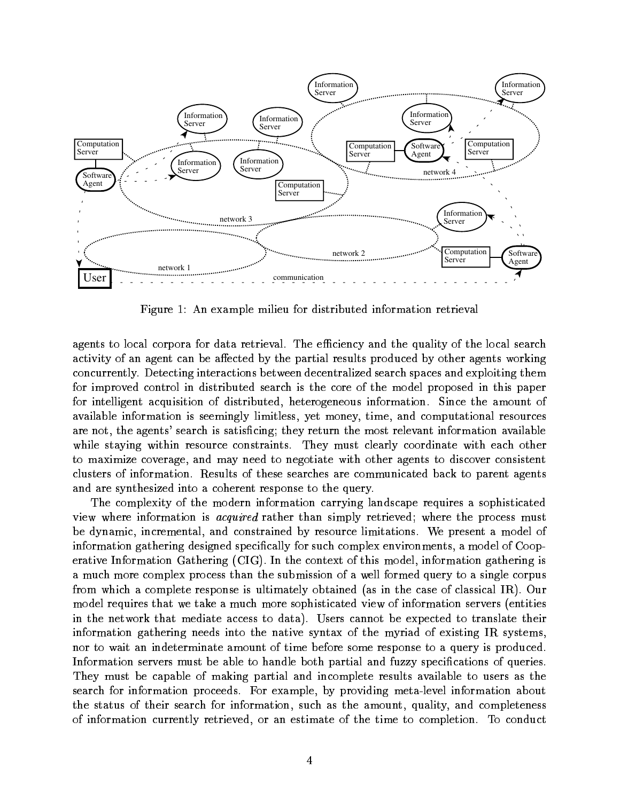

Figure 1: An example milieu for distributed information retrieval

agents to local corpora for data retrieval. The efficiency and the quality of the local search activity of an agent can be affected by the partial results produced by other agents working concurrently. Detecting interactions between decentralized search spaces and exploiting them for improved control in distributed search is the core of the model proposed in this paper for intelligent acquisition of distributed, heterogeneous information. Since the amount of available information is seemingly limitless, yet money, time, and computational resources are not, the agents' search is satisficing; they return the most relevant information available while staying within resource constraints. They must clearly coordinate with each other to maximize coverage, and may need to negotiate with other agents to discover consistent clusters of information. Results of these searches are communicated back to parent agents and are synthesized into a coherent response to the query.

The complexity of the modern information carrying landscape requires a sophisticated view where information is acquired rather than simply retrieved; where the process must be dynamic, incremental, and constrained by resource limitations. We present a model of information gathering designed specifically for such complex environments, a model of Cooperative Information Gathering (CIG). In the context of this model, information gathering is a much more complex process than the submission of a well formed query to a single corpus from which a complete response is ultimately obtained (as in the case of classical IR). Our model requires that we take a much more sophisticated view of information servers (entities in the network that mediate access to data). Users cannot be expected to translate their information gathering needs into the native syntax of the myriad of existing IR systems, nor to wait an indeterminate amount of time before some response to a query is produced. Information servers must be able to handle both partial and fuzzy specifications of queries. They must be capable of making partial and incomplete results available to users as the search for information proceeds. For example, by providing meta-level information about the status of their search for information, such as the amount, quality, and completeness of information currently retrieved, or an estimate of the time to completion. To conduct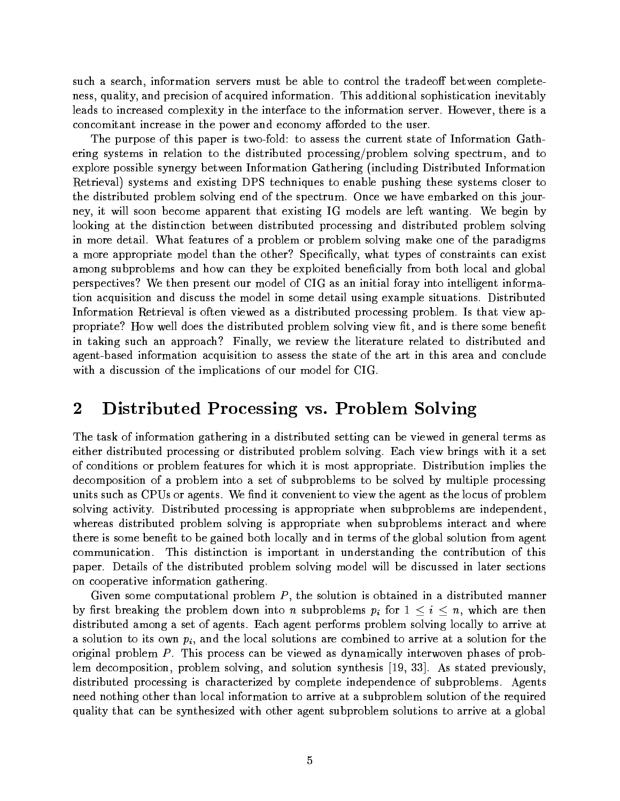such a search, information servers must be able to control the tradeoff between completeness, quality, and precision of acquired information. This additional sophistication inevitably leads to increased complexity in the interface to the information server. However, there is a concomitant increase in the power and economy afforded to the user.

The purpose of this paper is two-fold: to assess the current state of Information Gathering systems in relation to the distributed processing/problem solving spectrum, and to explore possible synergy between Information Gathering (including Distributed Information Retrieval) systems and existing DPS techniques to enable pushing these systems closer to the distributed problem solving end of the spectrum. Once we have embarked on this journey, it will soon become apparent that existing IG models are left wanting. We begin by looking at the distinction between distributed processing and distributed problem solving in more detail. What features of a problem or problem solving make one of the paradigms a more appropriate model than the other? Specically, what types of constraints can exist among subproblems and how can they be exploited beneficially from both local and global perspectives? We then present our model of CIG as an initial foray into intelligent information acquisition and discuss the model in some detail using example situations. Distributed Information Retrieval is often viewed as a distributed processing problem. Is that view appropriate? How well does the distributed problem solving view fit, and is there some benefit in taking such an approach? Finally, we review the literature related to distributed and agent-based information acquisition to assess the state of the art in this area and conclude with a discussion of the implications of our model for CIG.

## 2Distributed Processing vs. Problem Solving

The task of information gathering in a distributed setting can be viewed in general terms as either distributed processing or distributed problem solving. Each view brings with it a set of conditions or problem features for which it is most appropriate. Distribution implies the decomposition of a problem into a set of subproblems to be solved by multiple processing units such as CPUs or agents. We find it convenient to view the agent as the locus of problem solving activity. Distributed processing is appropriate when subproblems are independent, whereas distributed problem solving is appropriate when subproblems interact and where there is some benefit to be gained both locally and in terms of the global solution from agent communication. This distinction is important in understanding the contribution of this paper. Details of the distributed problem solving model will be discussed in later sections on cooperative information gathering.

Given some computational problem  $P$ , the solution is obtained in a distributed manner by first breaking the problem down into n subproblems  $p_i$  for  $1 \leq i \leq n$ , which are then distributed among a set of agents. Each agent performs problem solving locally to arrive at a solution to its own  $p_i$ , and the local solutions are combined to arrive at a solution for the original problem  $P$ . This process can be viewed as dynamically interwoven phases of problem decomposition, problem solving, and solution synthesis [19, 33]. As stated previously, distributed processing is characterized by complete independence of subproblems. Agents need nothing other than local information to arrive at a subproblem solution of the required quality that can be synthesized with other agent subproblem solutions to arrive at a global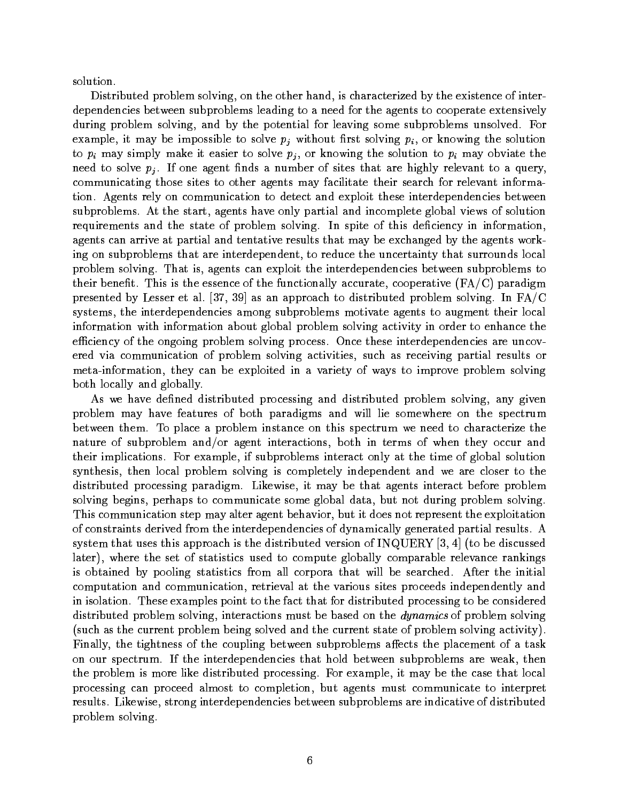solution.

Distributed problem solving, on the other hand, is characterized by the existence of interdependencies between subproblems leading to a need for the agents to cooperate extensively during problem solving, and by the potential for leaving some subproblems unsolved. For example, it may be impossible to solve  $p_i$  without first solving  $p_i$ , or knowing the solution to  $p_i$  may simply make it easier to solve  $p_j$ , or knowing the solution to  $p_i$  may obviate the need to solve  $p_i$ . If one agent finds a number of sites that are highly relevant to a query, communicating those sites to other agents may facilitate their search for relevant information. Agents rely on communication to detect and exploit these interdependencies between subproblems. At the start, agents have only partial and incomplete global views of solution requirements and the state of problem solving. In spite of this deficiency in information, agents can arrive at partial and tentative results that may be exchanged by the agents working on subproblems that are interdependent, to reduce the uncertainty that surrounds local problem solving. That is, agents can exploit the interdependencies between subproblems to their benefit. This is the essence of the functionally accurate, cooperative  $(FA/C)$  paradigm presented by Lesser et al. [37, 39] as an approach to distributed problem solving. In FA/C systems, the interdependencies among subproblems motivate agents to augment their local information with information about global problem solving activity in order to enhance the efficiency of the ongoing problem solving process. Once these interdependencies are uncovered via communication of problem solving activities, such as receiving partial results or meta-information, they can be exploited in a variety of ways to improve problem solving both locally and globally.

As we have defined distributed processing and distributed problem solving, any given problem may have features of both paradigms and will lie somewhere on the spectrum between them. To place a problem instance on this spectrum we need to characterize the nature of subproblem and/or agent interactions, both in terms of when they occur and their implications. For example, if subproblems interact only at the time of global solution synthesis, then local problem solving is completely independent and we are closer to the distributed processing paradigm. Likewise, it may be that agents interact before problem solving begins, perhaps to communicate some global data, but not during problem solving. This communication step may alter agent behavior, but it does not represent the exploitation of constraints derived from the interdependencies of dynamically generated partial results. A system that uses this approach is the distributed version of INQUERY [3, 4] (to be discussed later), where the set of statistics used to compute globally comparable relevance rankings is obtained by pooling statistics from all corpora that will be searched. After the initial computation and communication, retrieval at the various sites proceeds independently and in isolation. These examples point to the fact that for distributed processing to be considered distributed problem solving, interactions must be based on the dynamics of problem solving (such as the current problem being solved and the current state of problem solving activity). Finally, the tightness of the coupling between subproblems affects the placement of a task on our spectrum. If the interdependencies that hold between subproblems are weak, then the problem is more like distributed processing. For example, it may be the case that local processing can proceed almost to completion, but agents must communicate to interpret results. Likewise, strong interdependencies between subproblems are indicative of distributed problem solving.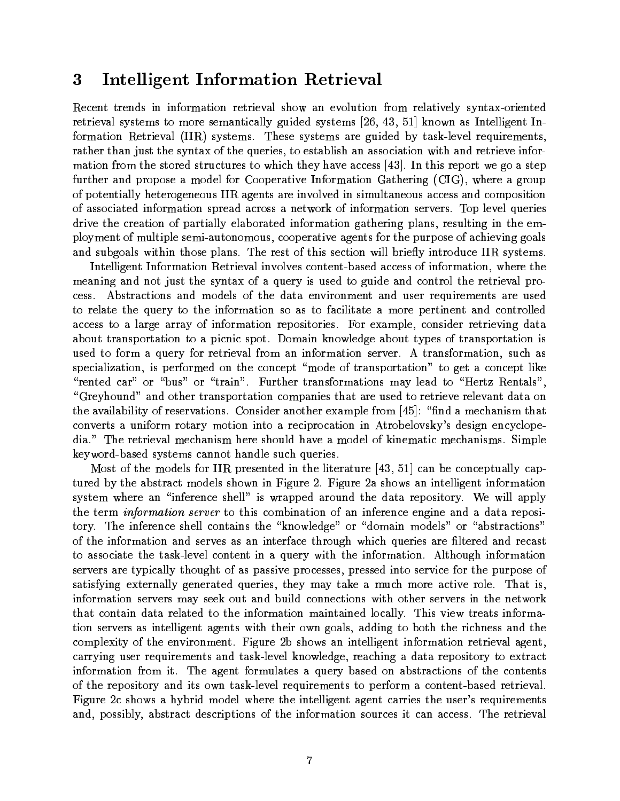## 3Intelligent Information Retrieval

Recent trends in information retrieval show an evolution from relatively syntax-oriented retrieval systems to more semantically guided systems [26, 43, 51] known as Intelligent Information Retrieval (IIR) systems. These systems are guided by task-level requirements, rather than just the syntax of the queries, to establish an association with and retrieve information from the stored structures to which they have access [43]. In this report we go a step further and propose a model for Cooperative Information Gathering (CIG), where a group of potentially heterogeneous IIR agents are involved in simultaneous access and composition of associated information spread across a network of information servers. Top level queries drive the creation of partially elaborated information gathering plans, resulting in the employment of multiple semi-autonomous, cooperative agents for the purpose of achieving goals and subgoals within those plans. The rest of this section will briefly introduce IIR systems.

Intelligent Information Retrieval involves content-based access of information, where the meaning and not just the syntax of a query is used to guide and control the retrieval process. Abstractions and models of the data environment and user requirements are used to relate the query to the information so as to facilitate a more pertinent and controlled access to a large array of information repositories. For example, consider retrieving data about transportation to a picnic spot. Domain knowledge about types of transportation is used to form a query for retrieval from an information server. A transformation, such as specialization, is performed on the concept "mode of transportation" to get a concept like "rented car" or "bus" or "train". Further transformations may lead to "Hertz Rentals", \Greyhound" and other transportation companies that are used to retrieve relevant data on the availability of reservations. Consider another example from [45]: "find a mechanism that converts a uniform rotary motion into a reciprocation in Atrobelovsky's design encyclopedia." The retrieval mechanism here should have a model of kinematic mechanisms. Simple keyword-based systems cannot handle such queries.

Most of the models for IIR presented in the literature [43, 51] can be conceptually captured by the abstract models shown in Figure 2. Figure 2a shows an intelligent information system where an "inference shell" is wrapped around the data repository. We will apply the term information server to this combination of an inference engine and a data repository. The inference shell contains the "knowledge" or "domain models" or "abstractions" of the information and serves as an interface through which queries are ltered and recast to associate the task-level content in a query with the information. Although information servers are typically thought of as passive processes, pressed into service for the purpose of satisfying externally generated queries, they may take a much more active role. That is, information servers may seek out and build connections with other servers in the network that contain data related to the information maintained locally. This view treats information servers as intelligent agents with their own goals, adding to both the richness and the complexity of the environment. Figure 2b shows an intelligent information retrieval agent, carrying user requirements and task-level knowledge, reaching a data repository to extract information from it. The agent formulates a query based on abstractions of the contents of the repository and its own task-level requirements to perform a content-based retrieval. Figure 2c shows a hybrid model where the intelligent agent carries the user's requirements and, possibly, abstract descriptions of the information sources it can access. The retrieval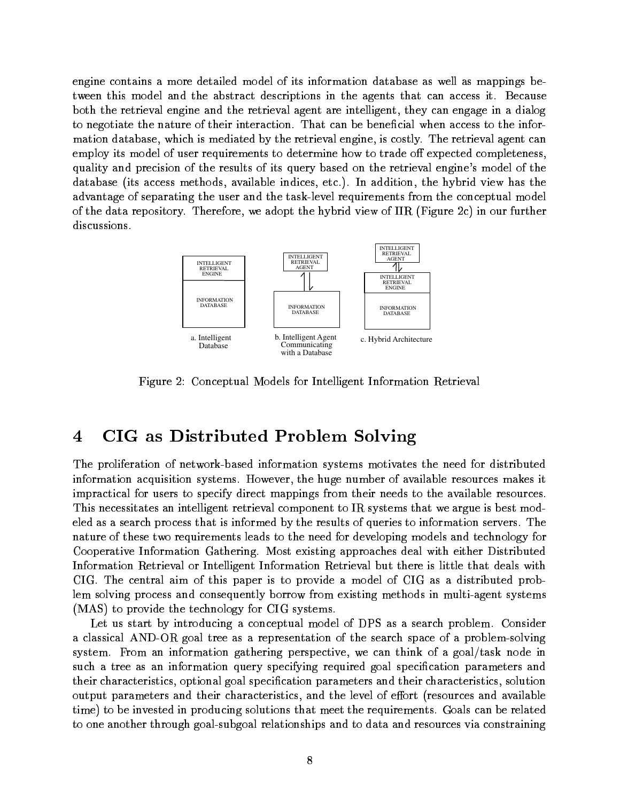engine contains a more detailed model of its information database as well as mappings between this model and the abstract descriptions in the agents that can access it. Because both the retrieval engine and the retrieval agent are intelligent, they can engage in a dialog to negotiate the nature of their interaction. That can be beneficial when access to the information database, which is mediated by the retrieval engine, is costly. The retrieval agent can employ its model of user requirements to determine how to trade off expected completeness, quality and precision of the results of its query based on the retrieval engine's model of the database (its access methods, available indices, etc.). In addition, the hybrid view has the advantage of separating the user and the task-level requirements from the conceptual model of the data repository. Therefore, we adopt the hybrid view of IIR (Figure 2c) in our further discussions.



Figure 2: Conceptual Models for Intelligent Information Retrieval

## 4CIG as Distributed Problem Solving

The proliferation of network-based information systems motivates the need for distributed information acquisition systems. However, the huge number of available resources makes it impractical for users to specify direct mappings from their needs to the available resources. This necessitates an intelligent retrieval component to IR systems that we argue is best modeled as a search process that is informed by the results of queries to information servers. The nature of these two requirements leads to the need for developing models and technology for Cooperative Information Gathering. Most existing approaches deal with either Distributed Information Retrieval or Intelligent Information Retrieval but there is little that deals with CIG. The central aim of this paper is to provide a model of CIG as a distributed problem solving process and consequently borrow from existing methods in multi-agent systems (MAS) to provide the technology for CIG systems.

Let us start by introducing a conceptual model of DPS as a search problem. Consider a classical AND-OR goal tree as a representation of the search space of a problem-solving system. From an information gathering perspective, we can think of a goal/task node in such a tree as an information query specifying required goal specification parameters and their characteristics, optional goal specication parameters and their characteristics, solution output parameters and their characteristics, and the level of effort (resources and available time) to be invested in producing solutions that meet the requirements. Goals can be related to one another through goal-subgoal relationships and to data and resources via constraining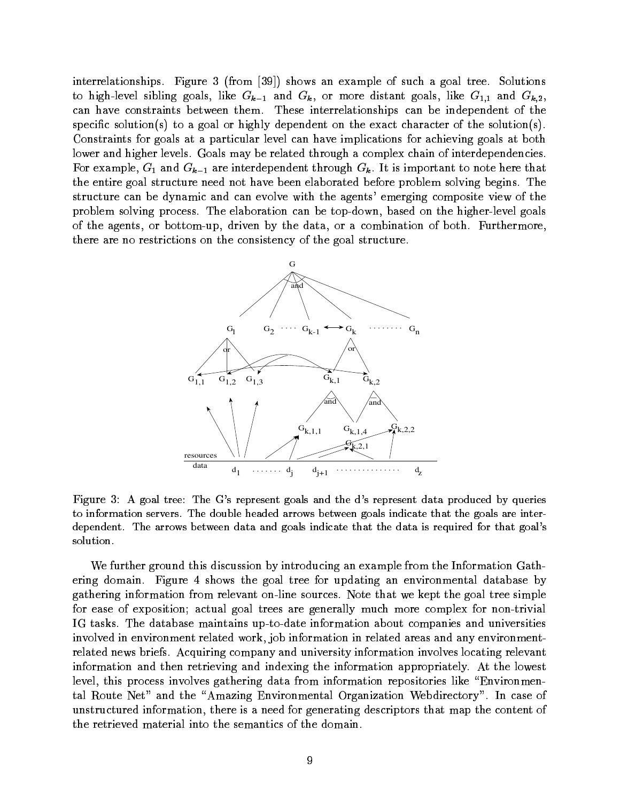interrelationships. Figure 3 (from [39]) shows an example of such a goal tree. Solutions to high-level sibling goals, like  $G_{k-1}$  and  $G_k$ , or more distant goals, like  $G_{1,1}$  and  $G_{k,2}$ , can have constraints between them. These interrelationships can be independent of the specific solution(s) to a goal or highly dependent on the exact character of the solution(s). Constraints for goals at a particular level can have implications for achieving goals at both lower and higher levels. Goals may be related through a complex chain of interdependencies. For example,  $G_1$  and  $G_{k-1}$  are interdependent through  $G_k$ . It is important to note here that the entire goal structure need not have been elaborated before problem solving begins. The structure can be dynamic and can evolve with the agents' emerging composite view of the problem solving process. The elaboration can be top-down, based on the higher-level goals of the agents, or bottom-up, driven by the data, or a combination of both. Furthermore, there are no restrictions on the consistency of the goal structure.



Figure 3: A goal tree: The G's represent goals and the d's represent data produced by queries to information servers. The double headed arrows between goals indicate that the goals are interdependent. The arrows between data and goals indicate that the data is required for that goal's solution.

We further ground this discussion by introducing an example from the Information Gathering domain. Figure 4 shows the goal tree for updating an environmental database by gathering information from relevant on-line sources. Note that we kept the goal tree simple for ease of exposition; actual goal trees are generally much more complex for non-trivial IG tasks. The database maintains up-to-date information about companies and universities involved in environment related work, job information in related areas and any environmentrelated news briefs. Acquiring company and university information involves locating relevant information and then retrieving and indexing the information appropriately. At the lowest level, this process involves gathering data from information repositories like "Environmental Route Net" and the "Amazing Environmental Organization Webdirectory". In case of unstructured information, there is a need for generating descriptors that map the content of the retrieved material into the semantics of the domain.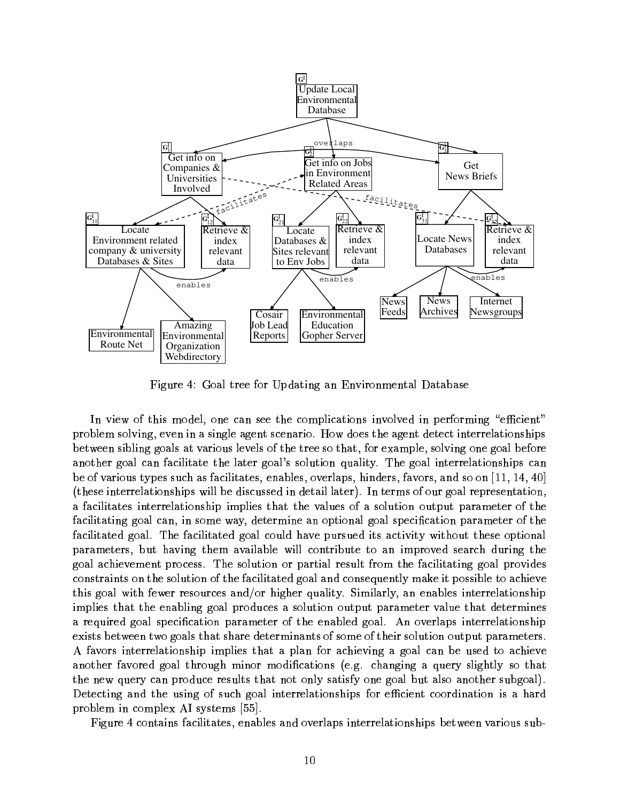

Figure 4: Goal tree for Updating an Environmental Database

In view of this model, one can see the complications involved in performing "efficient" problem solving, even in a single agent scenario. How does the agent detect interrelationships between sibling goals at various levels of the tree so that, for example, solving one goal before another goal can facilitate the later goal's solution quality. The goal interrelationships can be of various types such as facilitates, enables, overlaps, hinders, favors, and so on [11, 14, 40] (these interrelationships will be discussed in detail later). In terms of our goal representation, a facilitates interrelationship implies that the values of a solution output parameter of the facilitating goal can, in some way, determine an optional goal specification parameter of the facilitated goal. The facilitated goal could have pursued its activity without these optional parameters, but having them available will contribute to an improved search during the goal achievement process. The solution or partial result from the facilitating goal provides constraints on the solution of the facilitated goal and consequently make it possible to achieve this goal with fewer resources and/or higher quality. Similarly, an enables interrelationship implies that the enabling goal produces a solution output parameter value that determines a required goal specification parameter of the enabled goal. An overlaps interrelationship exists between two goals that share determinants of some of their solution output parameters. A favors interrelationship implies that a plan for achieving a goal can be used to achieve another favored goal through minor modications (e.g. changing a query slightly so that the new query can produce results that not only satisfy one goal but also another subgoal). Detecting and the using of such goal interrelationships for efficient coordination is a hard problem in complex AI systems [55].

Figure 4 contains facilitates, enables and overlaps interrelationships between various sub-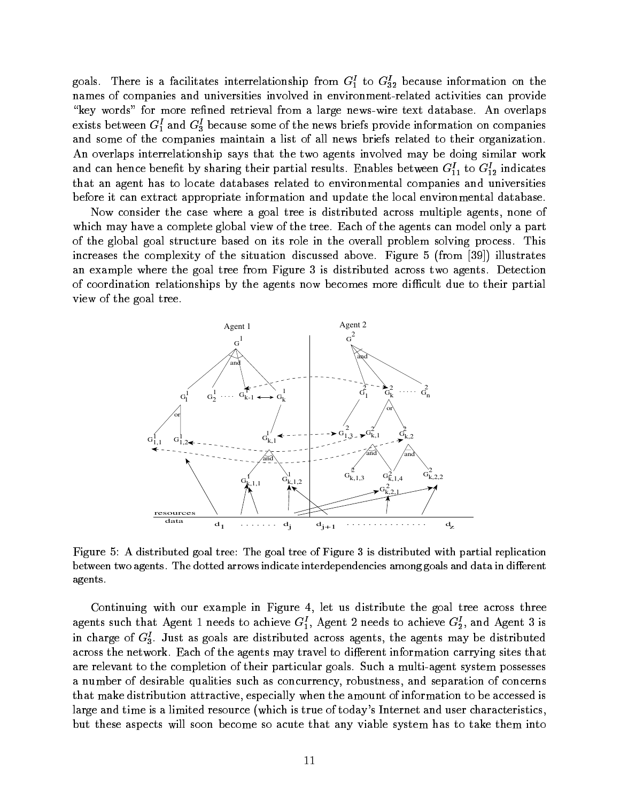goals. There is a facilitates interrelationship from  $G_1^{\dagger}$  to  $G_{32}^{\dagger}$  because information on the names of companies and universities involved in environment-related activities can provide "key words" for more refined retrieval from a large news-wire text database. An overlaps exists between  $G_1^*$  and  $G_3^*$  because some of the news briefs provide information on companies and some of the companies maintain a list of all news briefs related to their organization. An overlaps interrelationship says that the two agents involved may be doing similar work and can hence behent by sharing their partial results. Enables between  $G_{11}^-$  to  $G_{12}^-$  indicates that an agent has to locate databases related to environmental companies and universities before it can extract appropriate information and update the local environmental database.

Now consider the case where a goal tree is distributed across multiple agents, none of which may have a complete global view of the tree. Each of the agents can model only a part of the global goal structure based on its role in the overall problem solving process. This increases the complexity of the situation discussed above. Figure 5 (from [39]) illustrates an example where the goal tree from Figure 3 is distributed across two agents. Detection of coordination relationships by the agents now becomes more difficult due to their partial view of the goal tree.



Figure 5: A distributed goal tree: The goal tree of Figure 3 is distributed with partial replication between two agents. The dotted arrows indicate interdependencies among goals and data in different agents.

Continuing with our example in Figure 4, let us distribute the goal tree across three agents such that Agent 1 needs to achieve  $G_1^c$ , Agent 2 needs to achieve  $G_2^c$ , and Agent 3 is in charge of  $G_3$ . Just as goals are distributed across agents, the agents may be distributed across the network. Each of the agents may travel to different information carrying sites that are relevant to the completion of their particular goals. Suchamulti-agent system possesses a number of desirable qualities such as concurrency, robustness, and separation of concerns that make distribution attractive, especially when the amount of information to be accessed is large and time is a limited resource (which is true of today's Internet and user characteristics, but these aspects will soon become so acute that any viable system has to take them into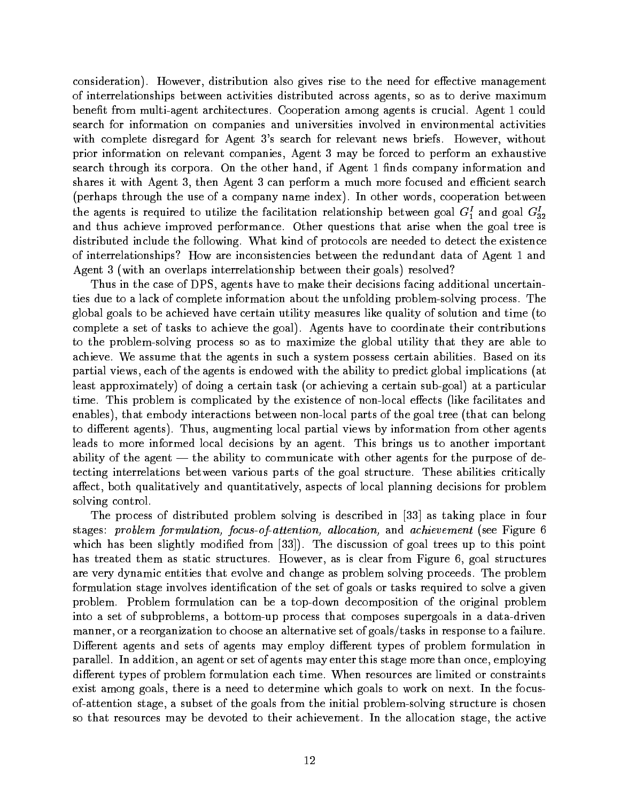consideration). However, distribution also gives rise to the need for effective management of interrelationships between activities distributed across agents, so as to derive maximum benet from multi-agent architectures. Cooperation among agents is crucial. Agent 1 could search for information on companies and universities involved in environmental activities with complete disregard for Agent 3's search for relevant news briefs. However, without prior information on relevant companies, Agent 3 may be forced to perform an exhaustive search through its corpora. On the other hand, if Agent 1 finds company information and shares it with Agent 3, then Agent 3 can perform a much more focused and efficient search (perhaps through the use of a company name index). In other words, cooperation between the agents is required to utilize the facilitation relationship between goal  $G_1^2$  and goal  $G_{32}^2$ and thus achieve improved performance. Other questions that arise when the goal tree is distributed include the following. What kind of protocols are needed to detect the existence of interrelationships? How are inconsistencies between the redundant data of Agent 1 and Agent 3 (with an overlaps interrelationship between their goals) resolved?

Thus in the case of DPS, agents have to make their decisions facing additional uncertainties due to a lack of complete information about the unfolding problem-solving process. The global goals to be achieved have certain utility measures like quality of solution and time (to complete a set of tasks to achieve the goal). Agents have to coordinate their contributions to the problem-solving process so as to maximize the global utility that they are able to achieve. We assume that the agents in such a system possess certain abilities. Based on its partial views, each of the agents is endowed with the ability to predict global implications (at least approximately) of doing a certain task (or achieving a certain sub-goal) at a particular time. This problem is complicated by the existence of non-local effects (like facilitates and enables), that embody interactions between non-local parts of the goal tree (that can belong to different agents). Thus, augmenting local partial views by information from other agents leads to more informed local decisions by an agent. This brings us to another important ability of the agent  $-$  the ability to communicate with other agents for the purpose of detecting interrelations between various parts of the goal structure. These abilities critically affect, both qualitatively and quantitatively, aspects of local planning decisions for problem solving control.

The process of distributed problem solving is described in [33] as taking place in four stages: problem formulation, focus-of-attention, allocation, and achievement (see Figure 6 which has been slightly modified from [33]). The discussion of goal trees up to this point has treated them as static structures. However, as is clear from Figure 6, goal structures are very dynamic entities that evolve and change as problem solving proceeds. The problem formulation stage involves identication of the set of goals or tasks required to solve a given problem. Problem formulation can be a top-down decomposition of the original problem into a set of subproblems, a bottom-up process that composes supergoals in a data-driven manner, or a reorganization to choose an alternative set of goals/tasks in response to a failure. Different agents and sets of agents may employ different types of problem formulation in parallel. In addition, an agent or set of agents may enter this stage more than once, employing different types of problem formulation each time. When resources are limited or constraints exist among goals, there is a need to determine which goals to work on next. In the focusof-attention stage, a subset of the goals from the initial problem-solving structure is chosen so that resources may be devoted to their achievement. In the allocation stage, the active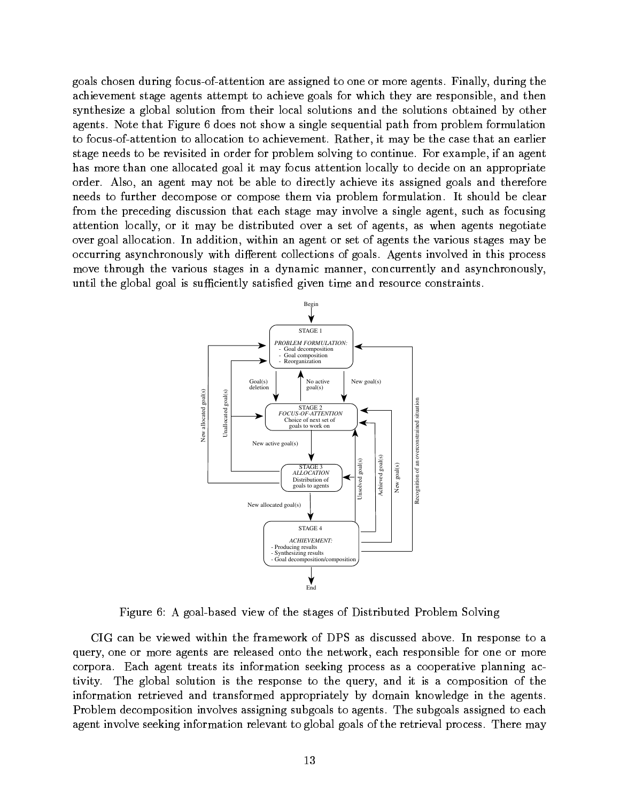goals chosen during focus-of-attention are assigned to one or more agents. Finally, during the achievement stage agents attempt to achieve goals for which they are responsible, and then synthesize a global solution from their local solutions and the solutions obtained by other agents. Note that Figure 6 does not show a single sequential path from problem formulation to focus-of-attention to allocation to achievement. Rather, it may be the case that an earlier stage needs to be revisited in order for problem solving to continue. For example, if an agent has more than one allocated goal it may focus attention locally to decide on an appropriate order. Also, an agent may not be able to directly achieve its assigned goals and therefore needs to further decompose or compose them via problem formulation. It should be clear from the preceding discussion that each stage may involve a single agent, such as focusing attention locally, or it may be distributed over a set of agents, as when agents negotiate over goal allocation. In addition, within an agent or set of agents the various stages may be occurring asynchronously with different collections of goals. Agents involved in this process move through the various stages in a dynamic manner, concurrently and asynchronously, until the global goal is sufficiently satisfied given time and resource constraints.



Figure 6: A goal-based view of the stages of Distributed Problem Solving

CIG can be viewed within the framework of DPS as discussed above. In response to a query, one or more agents are released onto the network, each responsible for one or more corpora. Each agent treats its information seeking process as a cooperative planning activity. The global solution is the response to the query, and it is a composition of the information retrieved and transformed appropriately by domain knowledge in the agents. Problem decomposition involves assigning subgoals to agents. The subgoals assigned to each agent involve seeking information relevant to global goals of the retrieval process. There may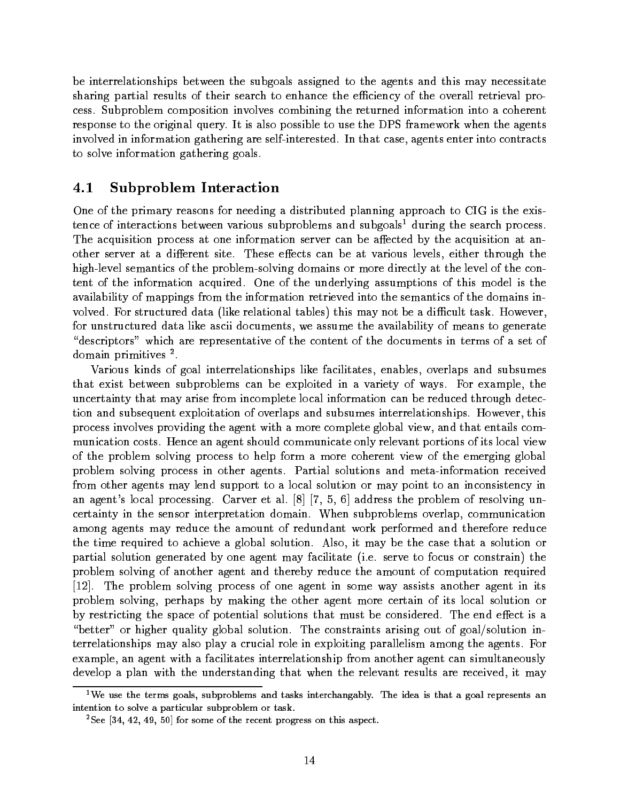be interrelationships between the subgoals assigned to the agents and this may necessitate sharing partial results of their search to enhance the efficiency of the overall retrieval process. Subproblem composition involves combining the returned information into a coherent response to the original query. It is also possible to use the DPS framework when the agents involved in information gathering are self-interested. In that case, agents enter into contracts to solve information gathering goals.

## 4.1 Subproblem Interaction

One of the primary reasons for needing a distributed planning approach to CIG is the existence of interactions between various subproblems and subgoals<sup>-</sup> during the search process. The acquisition process at one information server can be affected by the acquisition at another server at a different site. These effects can be at various levels, either through the high-level semantics of the problem-solving domains or more directly at the level of the content of the information acquired. One of the underlying assumptions of this model is the availability of mappings from the information retrieved into the semantics of the domains involved. For structured data (like relational tables) this may not be a difficult task. However, for unstructured data like ascii documents, we assume the availability of means to generate "descriptors" which are representative of the content of the documents in terms of a set of aomain primitives <sup>-</sup> .

Various kinds of goal interrelationships like facilitates, enables, overlaps and subsumes that exist between subproblems can be exploited in a variety of ways. For example, the uncertainty that may arise from incomplete local information can be reduced through detection and subsequent exploitation of overlaps and subsumes interrelationships. However, this process involves providing the agent with a more complete global view, and that entails communication costs. Hence an agent should communicate only relevant portions of its local view of the problem solving process to help form a more coherent view of the emerging global problem solving process in other agents. Partial solutions and meta-information received from other agents may lend support to a local solution or may point to an inconsistency in an agent's local processing. Carver et al. [8] [7, 5, 6] address the problem of resolving uncertainty in the sensor interpretation domain. When subproblems overlap, communication among agents may reduce the amount of redundant work performed and therefore reduce the time required to achieve a global solution. Also, it may be the case that a solution or partial solution generated by one agent may facilitate (i.e. serve to focus or constrain) the problem solving of another agent and thereby reduce the amount of computation required [12]. The problem solving process of one agent in some way assists another agent in its problem solving, perhaps by making the other agent more certain of its local solution or by restricting the space of potential solutions that must be considered. The end effect is a "better" or higher quality global solution. The constraints arising out of goal/solution interrelationships may also play a crucial role in exploiting parallelism among the agents. For example, an agent with a facilitates interrelationship from another agent can simultaneously develop a plan with the understanding that when the relevant results are received, it may

 $\,$  we use the terms goals, subproblems and tasks interchangably. The idea is that a goal represents an intention to solve a particular subproblem or task.

 $\overline{5}$ ee  $\overline{1}$ 34, 42, 49, 30] for some of the recent progress on this aspect.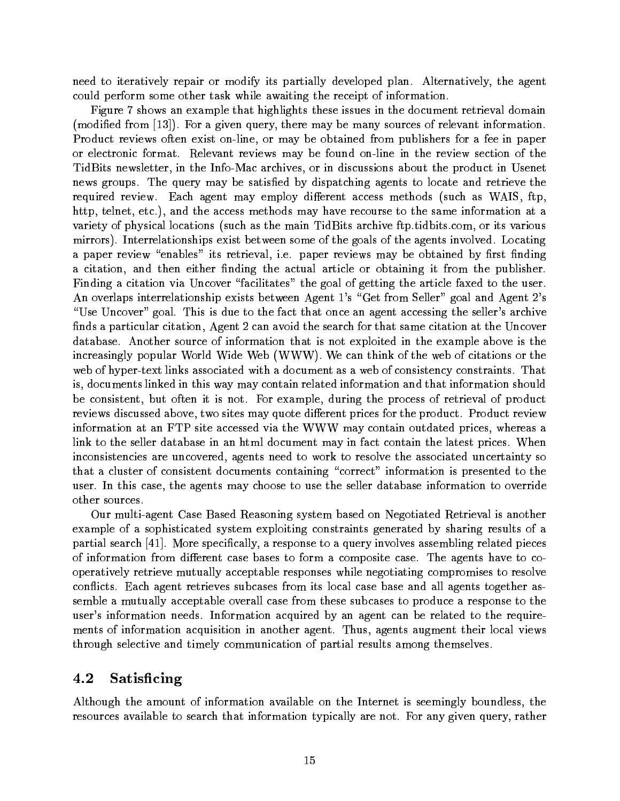need to iteratively repair or modify its partially developed plan. Alternatively, the agent could perform some other task while awaiting the receipt of information.

Figure 7 shows an example that highlights these issues in the document retrieval domain (modied from [13]). For a given query, there may be many sources of relevant information. Product reviews often exist on-line, or may be obtained from publishers for a fee in paper or electronic format. Relevant reviews may be found on-line in the review section of the TidBits newsletter, in the Info-Mac archives, or in discussions about the product in Usenet news groups. The query may be satisfied by dispatching agents to locate and retrieve the required review. Each agent may employ different access methods (such as WAIS, ftp, http, telnet, etc.), and the access methods may have recourse to the same information at a variety of physical locations (such as the main TidBits archive ftp.tidbits.com, or its various mirrors). Interrelationships exist between some of the goals of the agents involved. Locating a paper review "enables" its retrieval, i.e. paper reviews may be obtained by first finding a citation, and then either finding the actual article or obtaining it from the publisher. Finding a citation via Uncover "facilitates" the goal of getting the article faxed to the user. An overlaps interrelationship exists between Agent 1's "Get from Seller" goal and Agent 2's "Use Uncover" goal. This is due to the fact that once an agent accessing the seller's archive finds a particular citation, Agent 2 can avoid the search for that same citation at the Uncover database. Another source of information that is not exploited in the example above is the increasingly popular World Wide Web (WWW). We can think of the web of citations or the web of hyper-text links associated with a document as a web of consistency constraints. That is, documents linked in this way may contain related information and that information should be consistent, but often it is not. For example, during the process of retrieval of product reviews discussed above, two sites may quote different prices for the product. Product review information at an FTP site accessed via the WWW may contain outdated prices, whereas a link to the seller database in an html document may in fact contain the latest prices. When inconsistencies are uncovered, agents need to work to resolve the associated uncertainty so that a cluster of consistent documents containing "correct" information is presented to the user. In this case, the agents may choose to use the seller database information to override other sources.

Our multi-agent Case Based Reasoning system based on Negotiated Retrieval is another example of a sophisticated system exploiting constraints generated by sharing results of a partial search  $[41]$ . More specifically, a response to a query involves assembling related pieces of information from different case bases to form a composite case. The agents have to cooperatively retrieve mutually acceptable responses while negotiating compromises to resolve con
icts. Each agent retrieves subcases from its local case base and all agents together assemble a mutually acceptable overall case from these subcases to produce a response to the user's information needs. Information acquired by an agent can be related to the requirements of information acquisition in another agent. Thus, agents augment their local views through selective and timely communication of partial results among themselves.

### 4.2Satisficing

Although the amount of information available on the Internet is seemingly boundless, the resources available to search that information typically are not. For any given query, rather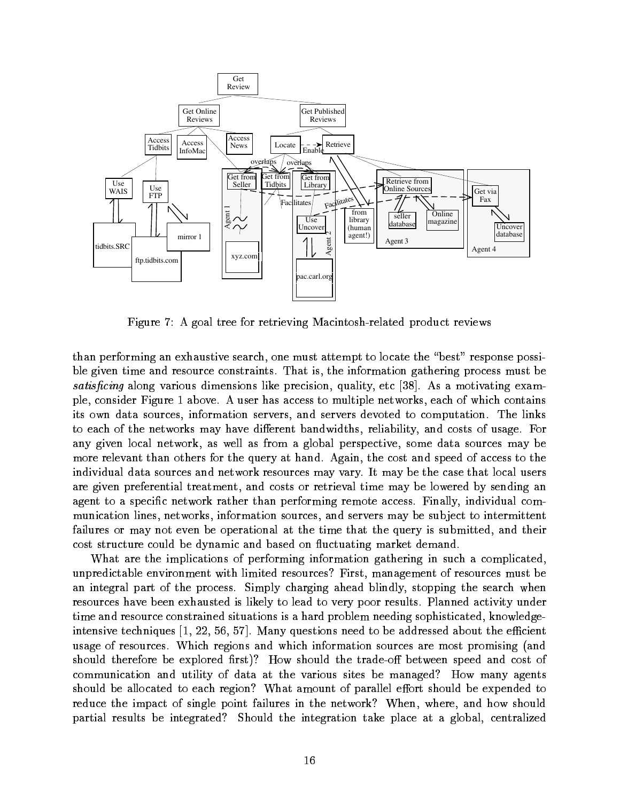

Figure 7: A goal tree for retrieving Macintosh-related product reviews

than performing an exhaustive search, one must attempt to locate the \best" response possible given time and resource constraints. That is, the information gathering process must be satisficing along various dimensions like precision, quality, etc  $[38]$ . As a motivating example, consider Figure 1 above. A user has access to multiple networks, each of which contains its own data sources, information servers, and servers devoted to computation. The links to each of the networks may have different bandwidths, reliability, and costs of usage. For any given local network, as well as from a global perspective, some data sources may be more relevant than others for the query at hand. Again, the cost and speed of access to the individual data sources and network resources may vary. It may be the case that local users are given preferential treatment, and costs or retrieval time may be lowered by sending an agent to a specific network rather than performing remote access. Finally, individual communication lines, networks, information sources, and servers may be subject to intermittent failures or may not even be operational at the time that the query is submitted, and their cost structure could be dynamic and based on uctuating market demand.

What are the implications of performing information gathering in such a complicated, unpredictable environment with limited resources? First, management of resources must be an integral part of the process. Simply charging ahead blindly, stopping the search when resources have been exhausted is likely to lead to very poor results. Planned activity under time and resource constrained situations is a hard problem needing sophisticated, knowledgeintensive techniques  $\left[1, 22, 56, 57\right]$ . Many questions need to be addressed about the efficient usage of resources. Which regions and which information sources are most promising (and should therefore be explored first)? How should the trade-off between speed and cost of communication and utility of data at the various sites be managed? How many agents should be allocated to each region? What amount of parallel effort should be expended to reduce the impact of single point failures in the network? When, where, and how should partial results be integrated? Should the integration take place at a global, centralized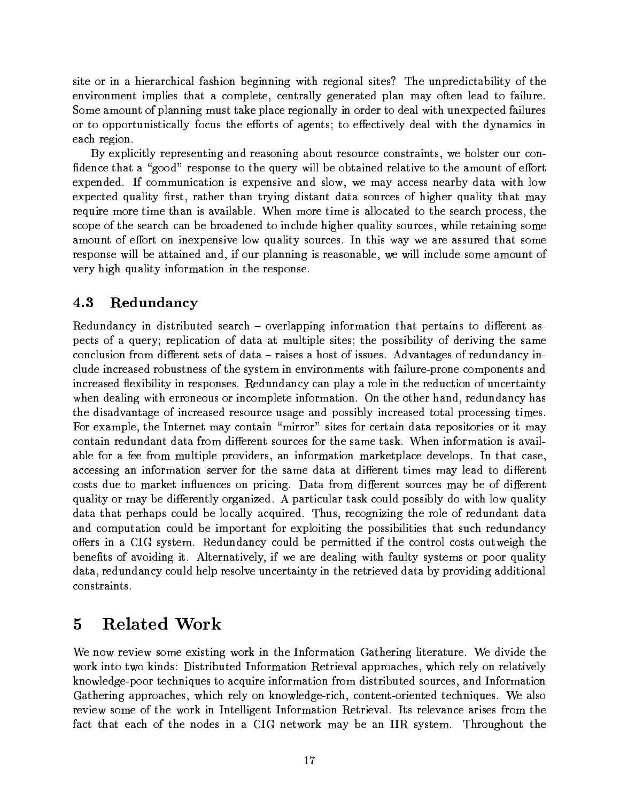site or in a hierarchical fashion beginning with regional sites? The unpredictability of the environment implies that a complete, centrally generated plan may often lead to failure. Some amount of planning must take place regionally in order to deal with unexpected failures or to opportunistically focus the efforts of agents; to effectively deal with the dynamics in each region.

By explicitly representing and reasoning about resource constraints, we bolster our con fidence that a "good" response to the query will be obtained relative to the amount of effort expended. If communication is expensive and slow, we may access nearby data with low expected quality first, rather than trying distant data sources of higher quality that may require more time than is available. When more time is allocated to the search process, the scope of the search can be broadened to include higher quality sources, while retaining some amount of effort on inexpensive low quality sources. In this way we are assured that some response will be attained and, if our planning is reasonable, we will include some amount of very high quality information in the response.

## 4.3 Redundancy

Redundancy in distributed search  $\sim$  overlapping information that pertains to different aspects of a query; replication of data at multiple sites; the possibility of deriving the same conclusion from different sets of data  $-$  raises a host of issues. Advantages of redundancy include increased robustness of the system in environments with failure-prone components and increased flexibility in responses. Redundancy can play a role in the reduction of uncertainty when dealing with erroneous or incomplete information. On the other hand, redundancy has the disadvantage of increased resource usage and possibly increased total processing times. For example, the Internet may contain "mirror" sites for certain data repositories or it may contain redundant data from different sources for the same task. When information is available for a fee from multiple providers, an information marketplace develops. In that case, accessing an information server for the same data at different times may lead to different costs due to market influences on pricing. Data from different sources may be of different quality or may be differently organized. A particular task could possibly do with low quality data that perhaps could be locally acquired. Thus, recognizing the role of redundant data and computation could be important for exploiting the possibilities that such redundancy offers in a CIG system. Redundancy could be permitted if the control costs outweigh the benefits of avoiding it. Alternatively, if we are dealing with faulty systems or poor quality data, redundancy could help resolve uncertainty in the retrieved data by providing additional constraints.

We now review some existing work in the Information Gathering literature. We divide the work into two kinds: Distributed Information Retrieval approaches, which rely on relatively knowledge-poor techniques to acquire information from distributed sources, and Information Gathering approaches, which rely on knowledge-rich, content-oriented techniques. We also review some of the work in Intelligent Information Retrieval. Its relevance arises from the fact that each of the nodes in a CIG network may be an IIR system. Throughout the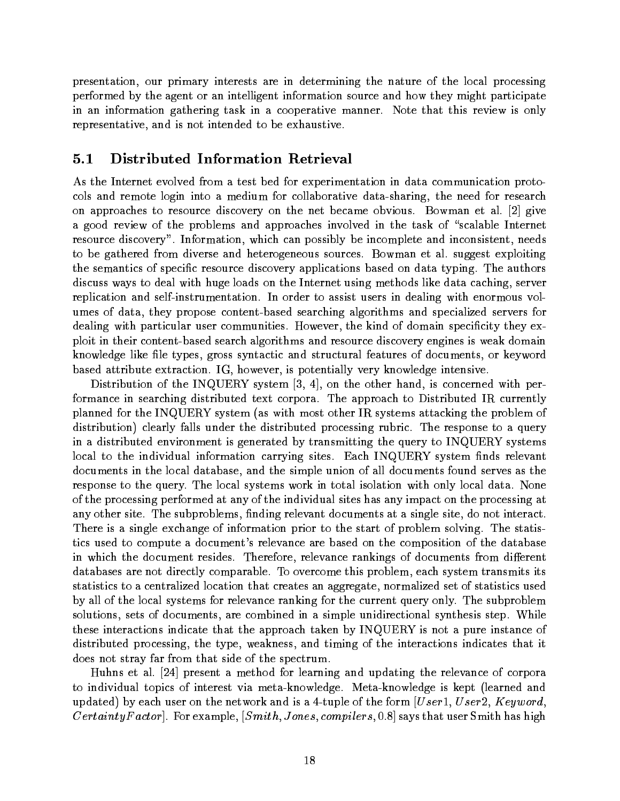presentation, our primary interests are in determining the nature of the local processing performed by the agent or an intelligent information source and how they might participate in an information gathering task in a cooperative manner. Note that this review is only representative, and is not intended to be exhaustive.

### $5.1$ Distributed Information Retrieval

As the Internet evolved from a test bed for experimentation in data communication protocols and remote login into a medium for collaborative data-sharing, the need for research on approaches to resource discovery on the net became obvious. Bowman et al. [2] give a good review of the problems and approaches involved in the task of "scalable Internet resource discovery". Information, which can possibly be incomplete and inconsistent, needs to be gathered from diverse and heterogeneous sources. Bowman et al. suggest exploiting the semantics of specific resource discovery applications based on data typing. The authors discuss ways to deal with huge loads on the Internet using methods like data caching, server replication and self-instrumentation. In order to assist users in dealing with enormous volumes of data, they propose content-based searching algorithms and specialized servers for dealing with particular user communities. However, the kind of domain specicity they exploit in their content-based search algorithms and resource discovery engines is weak domain knowledge like file types, gross syntactic and structural features of documents, or keyword based attribute extraction. IG, however, is potentially very knowledge intensive.

Distribution of the INQUERY system [3, 4], on the other hand, is concerned with performance in searching distributed text corpora. The approach to Distributed IR currently planned for the INQUERY system (as with most other IR systems attacking the problem of distribution) clearly falls under the distributed processing rubric. The response to a query in a distributed environment is generated by transmitting the query to INQUERY systems local to the individual information carrying sites. Each INQUERY system finds relevant documents in the local database, and the simple union of all documents found serves as the response to the query. The local systems work in total isolation with only local data. None of the processing performed at any of the individual sites has any impact on the processing at any other site. The subproblems, finding relevant documents at a single site, do not interact. There is a single exchange of information prior to the start of problem solving. The statistics used to compute a document's relevance are based on the composition of the database in which the document resides. Therefore, relevance rankings of documents from different databases are not directly comparable. To overcome this problem, each system transmits its statistics to a centralized location that creates an aggregate, normalized set of statistics used by all of the local systems for relevance ranking for the current query only. The subproblem solutions, sets of documents, are combined in a simple unidirectional synthesis step. While these interactions indicate that the approach taken by INQUERY is not a pure instance of distributed processing, the type, weakness, and timing of the interactions indicates that it does not stray far from that side of the spectrum.

Huhns et al. [24] present a method for learning and updating the relevance of corpora to individual topics of interest via meta-knowledge. Meta-knowledge is kept (learned and updated) by each user on the network and is a 4-tuple of the form  $[User1, User2, Keyword,$ Certainty Factor]. For example,  $[Smith, Jones, compilers, 0.8]$  says that user Smith has high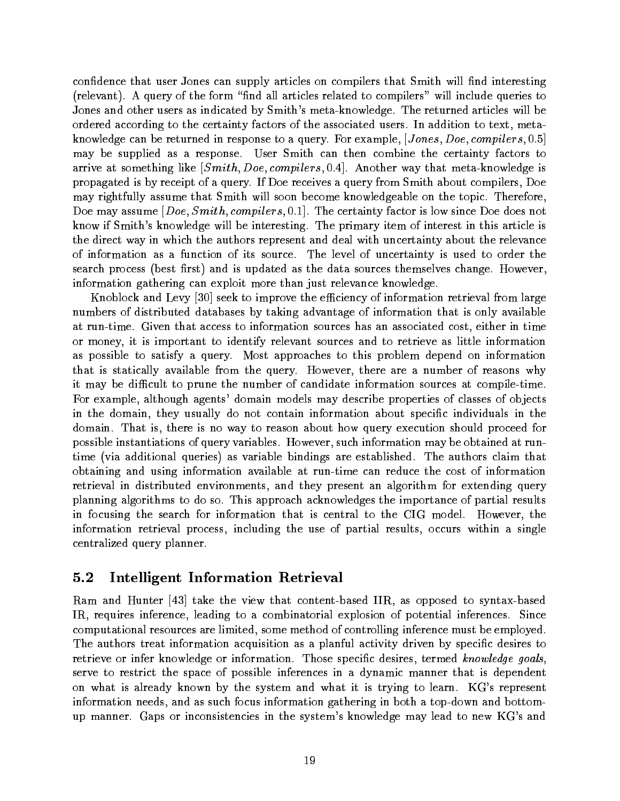confidence that user Jones can supply articles on compilers that Smith will find interesting (relevant). A query of the form "find all articles related to compilers" will include queries to Jones and other users as indicated by Smith's meta-knowledge. The returned articles will be ordered according to the certainty factors of the associated users. In addition to text, metaknowledge can be returned in response to a query. For example,  $[Jones, Does, compilers, 0.5]$ may be supplied as a response. User Smith can then combine the certainty factors to arrive at something like  $[Smith, Doe, compilers, 0.4]$ . Another way that meta-knowledge is propagated is by receipt of a query. If Doe receives a query from Smith about compilers, Doe may rightfully assume that Smith will soon become knowledgeable on the topic. Therefore, Doe may assume  $[De, Smith, compilers, 0.1]$ . The certainty factor is low since Doe does not know if Smith's knowledge will be interesting. The primary item of interest in this article is the direct way in which the authors represent and deal with uncertainty about the relevance of information as a function of its source. The level of uncertainty is used to order the search process (best first) and is updated as the data sources themselves change. However, information gathering can exploit more than just relevance knowledge.

Knoblock and Levy [30] seek to improve the efficiency of information retrieval from large numbers of distributed databases by taking advantage of information that is only available at run-time. Given that access to information sources has an associated cost, either in time or money, it is important to identify relevant sources and to retrieve as little information as possible to satisfy a query. Most approaches to this problem depend on information that is statically available from the query. However, there are a number of reasons why it may be difficult to prune the number of candidate information sources at compile-time. For example, although agents' domain models may describe properties of classes of objects in the domain, they usually do not contain information about specic individuals in the domain. That is, there is no way to reason about how query execution should proceed for possible instantiations of query variables. However, such information may be obtained at runtime (via additional queries) as variable bindings are established. The authors claim that obtaining and using information available at run-time can reduce the cost of information retrieval in distributed environments, and they present an algorithm for extending query planning algorithms to do so. This approach acknowledges the importance of partial results in focusing the search for information that is central to the CIG model. However, the information retrieval process, including the use of partial results, occurs within a single centralized query planner.

### 5.2Intelligent Information Retrieval

Ram and Hunter [43] take the view that content-based IIR, as opposed to syntax-based IR, requires inference, leading to a combinatorial explosion of potential inferences. Since computational resources are limited, some method of controlling inference must be employed. The authors treat information acquisition as a planful activity driven by specific desires to retrieve or infer knowledge or information. Those specific desires, termed knowledge goals, serve to restrict the space of possible inferences in a dynamic manner that is dependent on what is already known by the system and what it is trying to learn. KG's represent information needs, and as such focus information gathering in both a top-down and bottomup manner. Gaps or inconsistencies in the system's knowledge may lead to new KG's and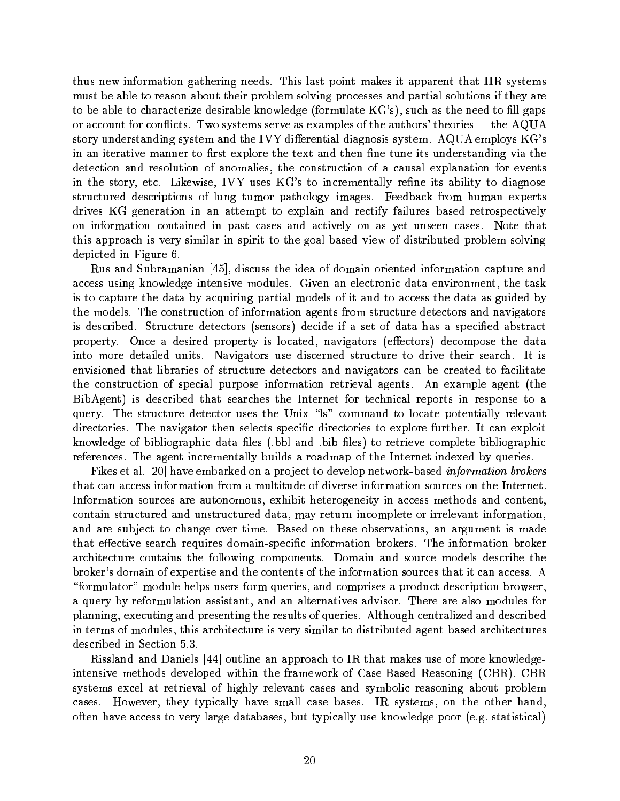thus new information gathering needs. This last point makes it apparent that IIR systems must be able to reason about their problem solving processes and partial solutions if they are to be able to characterize desirable knowledge (formulate  $KG's$ ), such as the need to fill gaps or account for conflicts. Two systems serve as examples of the authors' theories  $-$  the AQUA story understanding system and the IVY differential diagnosis system. AQUA employs KG's in an iterative manner to first explore the text and then fine tune its understanding via the detection and resolution of anomalies, the construction of a causal explanation for events in the story, etc. Likewise, IVY uses KG's to incrementally refine its ability to diagnose structured descriptions of lung tumor pathology images. Feedback from human experts drives KG generation in an attempt to explain and rectify failures based retrospectively on information contained in past cases and actively on as yet unseen cases. Note that this approach is very similar in spirit to the goal-based view of distributed problem solving depicted in Figure 6.

Rus and Subramanian [45], discuss the idea of domain-oriented information capture and access using knowledge intensive modules. Given an electronic data environment, the task is to capture the data by acquiring partial models of it and to access the data as guided by the models. The construction of information agents from structure detectors and navigators is described. Structure detectors (sensors) decide if a set of data has a specified abstract property. Once a desired property is located, navigators (effectors) decompose the data into more detailed units. Navigators use discerned structure to drive their search. It is envisioned that libraries of structure detectors and navigators can be created to facilitate the construction of special purpose information retrieval agents. An example agent (the BibAgent) is described that searches the Internet for technical reports in response to a query. The structure detector uses the Unix \ls" command to locate potentially relevant directories. The navigator then selects specific directories to explore further. It can exploit knowledge of bibliographic data files (.bbl and .bib files) to retrieve complete bibliographic references. The agent incrementally builds a roadmap of the Internet indexed by queries.

Fikes et al. [20] have embarked on a project to develop network-based *information brokers* that can access information from a multitude of diverse information sources on the Internet. Information sources are autonomous, exhibit heterogeneity in access methods and content, contain structured and unstructured data, may return incomplete or irrelevant information, and are subject to change over time. Based on these observations, an argument is made that effective search requires domain-specific information brokers. The information broker architecture contains the following components. Domain and source models describe the broker's domain of expertise and the contents of the information sources that it can access. A \formulator" module helps users form queries, and comprises a product description browser, a query-by-reformulation assistant, and an alternatives advisor. There are also modules for planning, executing and presenting the results of queries. Although centralized and described in terms of modules, this architecture is very similar to distributed agent-based architectures described in Section 5.3.

Rissland and Daniels [44] outline an approach to IR that makes use of more knowledgeintensive methods developed within the framework of Case-Based Reasoning (CBR). CBR systems excel at retrieval of highly relevant cases and symbolic reasoning about problem cases. However, they typically have small case bases. IR systems, on the other hand, often have access to very large databases, but typically use knowledge-poor (e.g. statistical)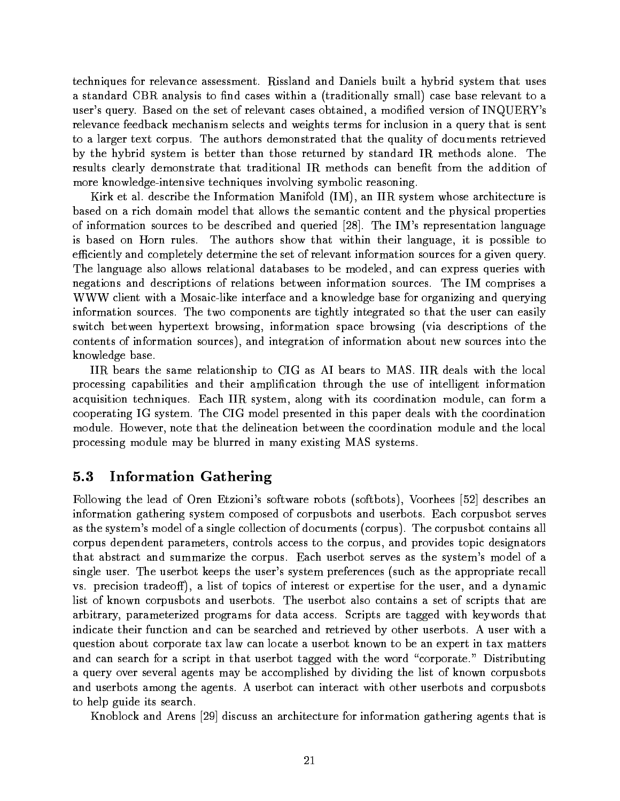techniques for relevance assessment. Rissland and Daniels built a hybrid system that uses a standard CBR analysis to find cases within a (traditionally small) case base relevant to a user's query. Based on the set of relevant cases obtained, a modified version of INQUERY's relevance feedback mechanism selects and weights terms for inclusion in a query that is sent to a larger text corpus. The authors demonstrated that the quality of documents retrieved by the hybrid system is better than those returned by standard IR methods alone. The results clearly demonstrate that traditional IR methods can benet from the addition of more knowledge-intensive techniques involving symbolic reasoning.

Kirk et al. describe the Information Manifold (IM), an IIR system whose architecture is based on a rich domain model that allows the semantic content and the physical properties of information sources to be described and queried [28]. The IM's representation language is based on Horn rules. The authors show that within their language, it is possible to efficiently and completely determine the set of relevant information sources for a given query. The language also allows relational databases to be modeled, and can express queries with negations and descriptions of relations between information sources. The IM comprises a WWW client with a Mosaic-like interface and a knowledge base for organizing and querying information sources. The two components are tightly integrated so that the user can easily switch between hypertext browsing, information space browsing (via descriptions of the contents of information sources), and integration of information about new sources into the knowledge base.

IIR bears the same relationship to CIG as AI bears to MAS. IIR deals with the local processing capabilities and their amplication through the use of intelligent information acquisition techniques. Each IIR system, along with its coordination module, can form a cooperating IG system. The CIG model presented in this paper deals with the coordination module. However, note that the delineation between the coordination module and the local processing module may be blurred in many existing MAS systems.

### 5.3Information Gathering

Following the lead of Oren Etzioni's software robots (softbots), Voorhees [52] describes an information gathering system composed of corpusbots and userbots. Each corpusbot serves as the system's model of a single collection of documents (corpus). The corpusbot contains all corpus dependent parameters, controls access to the corpus, and provides topic designators that abstract and summarize the corpus. Each userbot serves as the system's model of a single user. The userbot keeps the user's system preferences (such as the appropriate recall vs. precision tradeoff), a list of topics of interest or expertise for the user, and a dynamic list of known corpusbots and userbots. The userbot also contains a set of scripts that are arbitrary, parameterized programs for data access. Scripts are tagged with keywords that indicate their function and can be searched and retrieved by other userbots. A user with a question about corporate tax law can locate a userbot known to be an expert in tax matters and can search for a script in that userbot tagged with the word "corporate." Distributing a query over several agents may be accomplished by dividing the list of known corpusbots and userbots among the agents. A userbot can interact with other userbots and corpusbots to help guide its search.

Knoblock and Arens [29] discuss an architecture for information gathering agents that is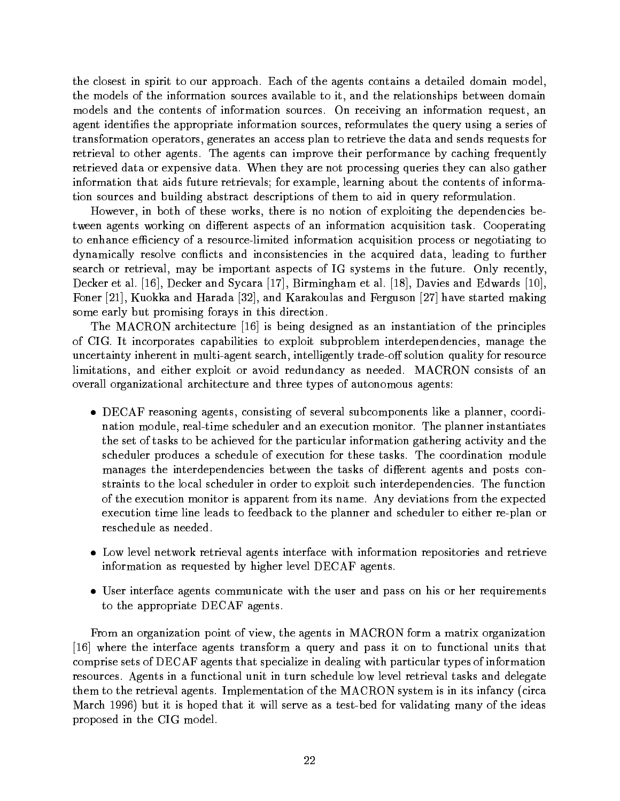the closest in spirit to our approach. Each of the agents contains a detailed domain model, the models of the information sources available to it, and the relationships between domain models and the contents of information sources. On receiving an information request, an agent identies the appropriate information sources, reformulates the query using a series of transformation operators, generates an access plan to retrieve the data and sends requests for retrieval to other agents. The agents can improve their performance by caching frequently retrieved data or expensive data. When they are not processing queries they can also gather information that aids future retrievals; for example, learning about the contents of information sources and building abstract descriptions of them to aid in query reformulation.

However, in both of these works, there is no notion of exploiting the dependencies between agents working on different aspects of an information acquisition task. Cooperating to enhance efficiency of a resource-limited information acquisition process or negotiating to dynamically resolve conflicts and inconsistencies in the acquired data, leading to further search or retrieval, may be important aspects of IG systems in the future. Only recently, Decker et al. [16], Decker and Sycara [17], Birmingham et al. [18], Davies and Edwards [10], Foner [21], Kuokka and Harada [32], and Karakoulas and Ferguson [27] have started making some early but promising forays in this direction.

The MACRON architecture [16] is being designed as an instantiation of the principles of CIG. It incorporates capabilities to exploit subproblem interdependencies, manage the uncertainty inherent in multi-agent search, intelligently trade-off solution quality for resource limitations, and either exploit or avoid redundancy as needed. MACRON consists of an overall organizational architecture and three types of autonomous agents:

- DECAF reasoning agents, consisting of several subcomponents like a planner, coordination module, real-time scheduler and an execution monitor. The planner instantiates the set of tasks to be achieved for the particular information gathering activity and the scheduler produces a schedule of execution for these tasks. The coordination module manages the interdependencies between the tasks of different agents and posts constraints to the local scheduler in order to exploit such interdependencies. The function of the execution monitor is apparent from its name. Any deviations from the expected execution time line leads to feedback to the planner and scheduler to either re-plan or reschedule as needed.
- Low level network retrieval agents interface with information repositories and retrieve information as requested by higher level DECAF agents.
- User interface agents communicate with the user and pass on his or her requirements to the appropriate DECAF agents.

From an organization point of view, the agents in MACRON form a matrix organization [16] where the interface agents transform a query and pass it on to functional units that comprise sets of DECAF agents that specialize in dealing with particular types of information resources. Agents in a functional unit in turn schedule low level retrieval tasks and delegate them to the retrieval agents. Implementation of the MACRON system is in its infancy (circa March 1996) but it is hoped that it will serve as a test-bed for validating many of the ideas proposed in the CIG model.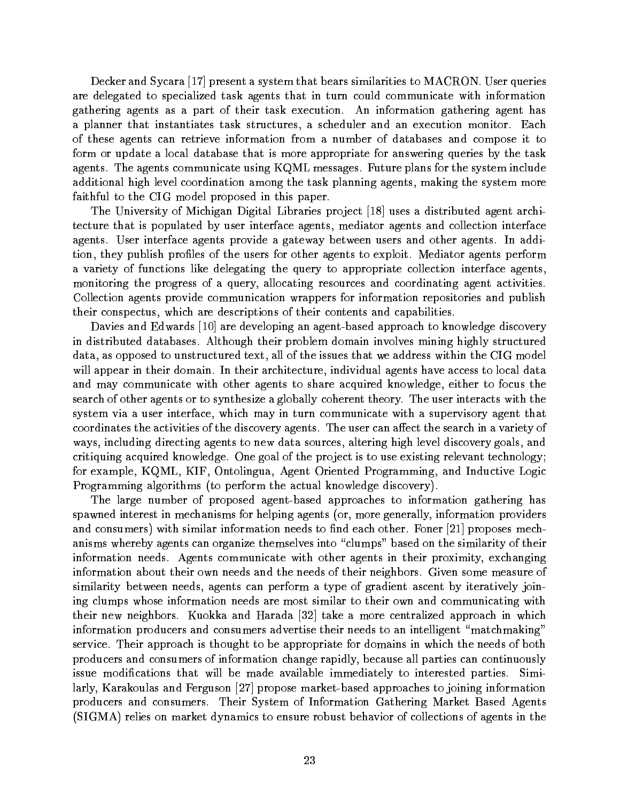Decker and Sycara [17] present a system that bears similarities to MACRON. User queries are delegated to specialized task agents that in turn could communicate with information gathering agents as a part of their task execution. An information gathering agent has a planner that instantiates task structures, a scheduler and an execution monitor. Each of these agents can retrieve information from a number of databases and compose it to form or update a local database that is more appropriate for answering queries by the task agents. The agents communicate using KQML messages. Future plans for the system include additional high level coordination among the task planning agents, making the system more faithful to the CIG model proposed in this paper.

The University of Michigan Digital Libraries project [18] uses a distributed agent architecture that is populated by user interface agents, mediator agents and collection interface agents. User interface agents provide a gateway between users and other agents. In addition, they publish profiles of the users for other agents to exploit. Mediator agents perform a variety of functions like delegating the query to appropriate collection interface agents, monitoring the progress of a query, allocating resources and coordinating agent activities. Collection agents provide communication wrappers for information repositories and publish their conspectus, which are descriptions of their contents and capabilities.

Davies and Edwards [10] are developing an agent-based approach to knowledge discovery in distributed databases. Although their problem domain involves mining highly structured data, as opposed to unstructured text, all of the issues that we address within the CIG model will appear in their domain. In their architecture, individual agents have access to local data and may communicate with other agents to share acquired knowledge, either to focus the search of other agents or to synthesize a globally coherent theory. The user interacts with the system via a user interface, which may in turn communicate with a supervisory agent that coordinates the activities of the discovery agents. The user can affect the search in a variety of ways, including directing agents to new data sources, altering high level discovery goals, and critiquing acquired knowledge. One goal of the project is to use existing relevant technology; for example, KQML, KIF, Ontolingua, Agent Oriented Programming, and Inductive Logic Programming algorithms (to perform the actual knowledge discovery).

The large number of proposed agent-based approaches to information gathering has spawned interest in mechanisms for helping agents (or, more generally, information providers and consumers) with similar information needs to find each other. Foner  $[21]$  proposes mechanisms whereby agents can organize themselves into "clumps" based on the similarity of their information needs. Agents communicate with other agents in their proximity, exchanging information about their own needs and the needs of their neighbors. Given some measure of similarity between needs, agents can perform a type of gradient ascent by iteratively joining clumps whose information needs are most similar to their own and communicating with their new neighbors. Kuokka and Harada [32] take a more centralized approach in which information producers and consumers advertise their needs to an intelligent "matchmaking" service. Their approach is thought to be appropriate for domains in which the needs of both producers and consumers of information change rapidly, because all parties can continuously issue modications that will be made available immediately to interested parties. Similarly, Karakoulas and Ferguson [27] propose market-based approaches to joining information producers and consumers. Their System of Information Gathering Market Based Agents (SIGMA) relies on market dynamics to ensure robust behavior of collections of agents in the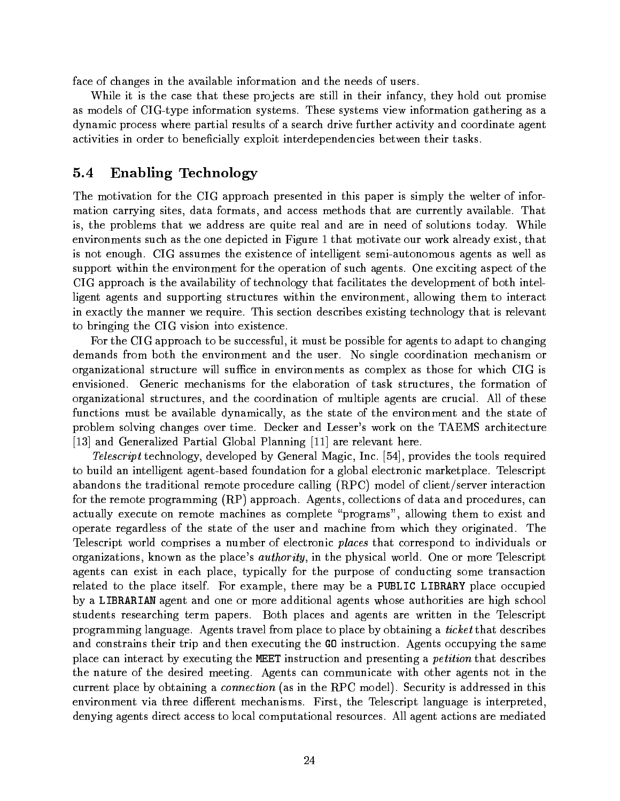face of changes in the available information and the needs of users.

While it is the case that these projects are still in their infancy, they hold out promise as models of CIG-type information systems. These systems view information gathering as a dynamic process where partial results of a search drive further activity and coordinate agent activities in order to beneficially exploit interdependencies between their tasks.

### 5.4Enabling Technology

The motivation for the CIG approach presented in this paper is simply the welter of information carrying sites, data formats, and access methods that are currently available. That is, the problems that we address are quite real and are in need of solutions today. While environments such as the one depicted in Figure 1 that motivate our work already exist, that is not enough. CIG assumes the existence of intelligent semi-autonomous agents as well as support within the environment for the operation of such agents. One exciting aspect of the CIG approach is the availability of technology that facilitates the development of both intelligent agents and supporting structures within the environment, allowing them to interact in exactly the manner we require. This section describes existing technology that is relevant to bringing the CIG vision into existence.

For the CIG approach to be successful, it must be possible for agents to adapt to changing demands from both the environment and the user. No single coordination mechanism or organizational structure will suffice in environments as complex as those for which CIG is envisioned. Generic mechanisms for the elaboration of task structures, the formation of organizational structures, and the coordination of multiple agents are crucial. All of these functions must be available dynamically, as the state of the environment and the state of problem solving changes over time. Decker and Lesser's work on the TAEMS architecture [13] and Generalized Partial Global Planning [11] are relevant here.

Telescript technology, developed by General Magic, Inc. [54], provides the tools required to build an intelligent agent-based foundation for a global electronic marketplace. Telescript abandons the traditional remote procedure calling (RPC) model of client/server interaction for the remote programming (RP) approach. Agents, collections of data and procedures, can actually execute on remote machines as complete \programs", allowing them to exist and operate regardless of the state of the user and machine from which they originated. The Telescript world comprises a number of electronic places that correspond to individuals or organizations, known as the place's authority, in the physical world. One or more Telescript agents can exist in each place, typically for the purpose of conducting some transaction related to the place itself. For example, there may be a PUBLIC LIBRARY place occupied by a LIBRARIAN agent and one or more additional agents whose authorities are high school students researching term papers. Both places and agents are written in the Telescript programming language. Agents travel from place to place by obtaining a ticket that describes and constrains their trip and then executing the GO instruction. Agents occupying the same place can interact by executing the MEET instruction and presenting a petition that describes the nature of the desired meeting. Agents can communicate with other agents not in the current place by obtaining a connection (as in the RPC model). Security is addressed in this environment via three different mechanisms. First, the Telescript language is interpreted, denying agents direct access to local computational resources. All agent actions are mediated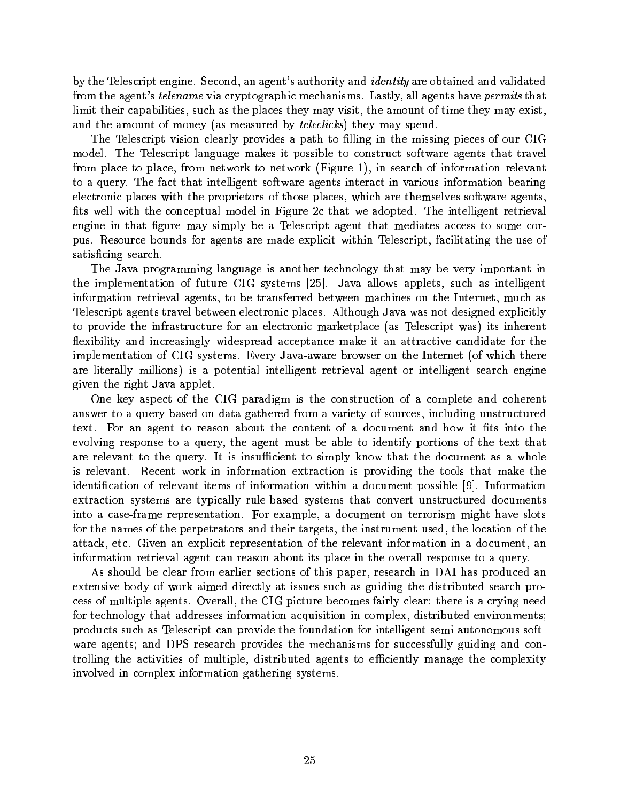by the Telescript engine. Second, an agent's authority and *identity* are obtained and validated from the agent's *telename* via cryptographic mechanisms. Lastly, all agents have *permits* that limit their capabilities, such as the places they may visit, the amount of time they may exist, and the amount of money (as measured by *teleclicks*) they may spend.

The Telescript vision clearly provides a path to filling in the missing pieces of our CIG model. The Telescript language makes it possible to construct software agents that travel from place to place, from network to network (Figure 1), in search of information relevant to a query. The fact that intelligent software agents interact in various information bearing electronic places with the proprietors of those places, which are themselves software agents, fits well with the conceptual model in Figure 2c that we adopted. The intelligent retrieval engine in that figure may simply be a Telescript agent that mediates access to some corpus. Resource bounds for agents are made explicit within Telescript, facilitating the use of satisficing search.

The Java programming language is another technology that may be very important in the implementation of future CIG systems [25]. Java allows applets, such as intelligent information retrieval agents, to be transferred between machines on the Internet, much as Telescript agents travel between electronic places. Although Java was not designed explicitly to provide the infrastructure for an electronic marketplace (as Telescript was) its inherent flexibility and increasingly widespread acceptance make it an attractive candidate for the implementation of CIG systems. Every Java-aware browser on the Internet (of which there are literally millions) is a potential intelligent retrieval agent or intelligent search engine given the right Java applet.

One key aspect of the CIG paradigm is the construction of a complete and coherent answer to a query based on data gathered from a variety of sources, including unstructured text. For an agent to reason about the content of a document and how it fits into the evolving response to a query, the agent must be able to identify portions of the text that are relevant to the query. It is insufficient to simply know that the document as a whole is relevant. Recent work in information extraction is providing the tools that make the identication of relevant items of information within a document possible [9]. Information extraction systems are typically rule-based systems that convert unstructured documents into a case-frame representation. For example, a document on terrorism might have slots for the names of the perpetrators and their targets, the instrument used, the location of the attack, etc. Given an explicit representation of the relevant information in a document, an information retrieval agent can reason about its place in the overall response to a query.

As should be clear from earlier sections of this paper, research in DAI has produced an extensive body of work aimed directly at issues such as guiding the distributed search process of multiple agents. Overall, the CIG picture becomes fairly clear: there is a crying need for technology that addresses information acquisition in complex, distributed environments; products such as Telescript can provide the foundation for intelligent semi-autonomous software agents; and DPS research provides the mechanisms for successfully guiding and controlling the activities of multiple, distributed agents to efficiently manage the complexity involved in complex information gathering systems.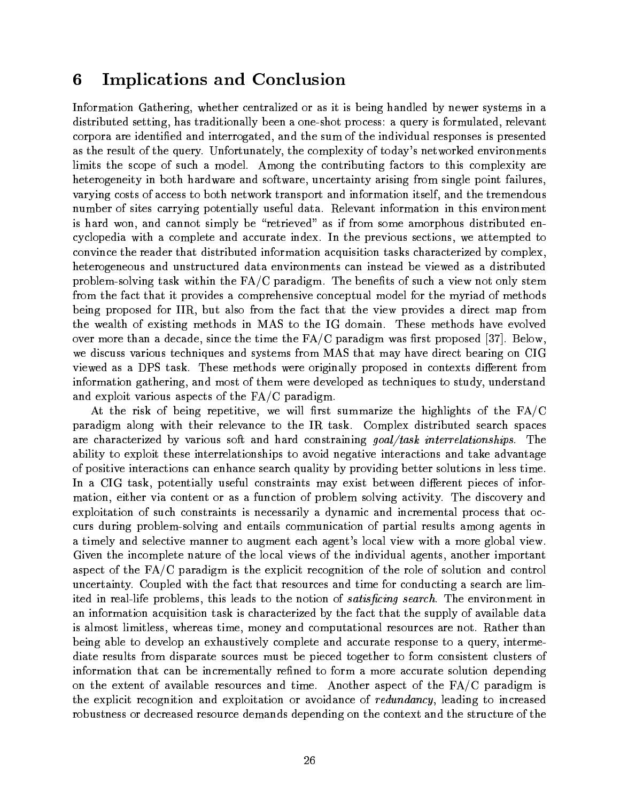## <sup>6</sup> Implications and Conclusion

Information Gathering, whether centralized or as it is being handled by newer systems in a distributed setting, has traditionally been a one-shot process: a query is formulated, relevant corpora are identied and interrogated, and the sum of the individual responses is presented as the result of the query. Unfortunately, the complexity of today's networked environments limits the scope of such a model. Among the contributing factors to this complexity are heterogeneity in both hardware and software, uncertainty arising from single point failures, varying costs of access to both network transport and information itself, and the tremendous number of sites carrying potentially useful data. Relevant information in this environment is hard won, and cannot simply be "retrieved" as if from some amorphous distributed encyclopedia with a complete and accurate index. In the previous sections, we attempted to convince the reader that distributed information acquisition tasks characterized by complex, heterogeneous and unstructured data environments can instead be viewed as a distributed problem-solving task within the  $FA/C$  paradigm. The benefits of such a view not only stem from the fact that it provides a comprehensive conceptual model for the myriad of methods being proposed for IIR, but also from the fact that the view provides a direct map from the wealth of existing methods in MAS to the IG domain. These methods have evolved over more than a decade, since the time the  $FA/C$  paradigm was first proposed [37]. Below, we discuss various techniques and systems from MAS that may have direct bearing on CIG viewed as a DPS task. These methods were originally proposed in contexts different from information gathering, and most of them were developed as techniques to study, understand and exploit various aspects of the FA/C paradigm.

At the risk of being repetitive, we will first summarize the highlights of the  ${\rm FA/ C}$ paradigm along with their relevance to the IR task. Complex distributed search spaces are characterized by various soft and hard constraining goal/task interrelationships. The ability to exploit these interrelationships to avoid negative interactions and take advantage of positive interactions can enhance search quality by providing better solutions in less time. In a CIG task, potentially useful constraints may exist between different pieces of information, either via content or as a function of problem solving activity. The discovery and exploitation of such constraints is necessarily a dynamic and incremental process that occurs during problem-solving and entails communication of partial results among agents in a timely and selective manner to augment each agent's local view with a more global view. Given the incomplete nature of the local views of the individual agents, another important aspect of the FA/C paradigm is the explicit recognition of the role of solution and control uncertainty. Coupled with the fact that resources and time for conducting a search are limited in real-life problems, this leads to the notion of *satisficing search*. The environment in an information acquisition task is characterized by the fact that the supply of available data is almost limitless, whereas time, money and computational resources are not. Rather than being able to develop an exhaustively complete and accurate response to a query, intermediate results from disparate sources must be pieced together to form consistent clusters of information that can be incrementally refined to form a more accurate solution depending on the extent of available resources and time. Another aspect of the FA/C paradigm is the explicit recognition and exploitation or avoidance of redundancy, leading to increased robustness or decreased resource demands depending on the context and the structure of the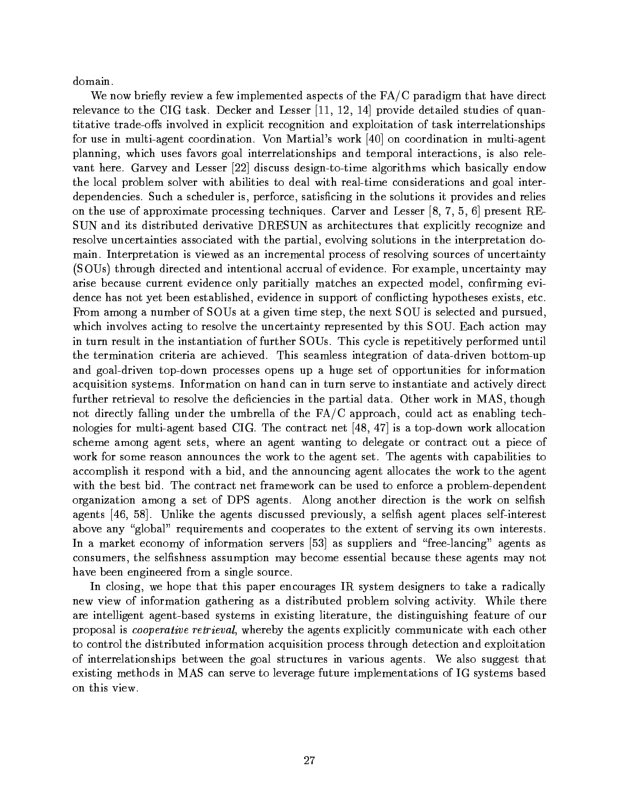domain.

We now briefly review a few implemented aspects of the  $FA/C$  paradigm that have direct relevance to the CIG task. Decker and Lesser [11, 12, 14] provide detailed studies of quantitative trade-offs involved in explicit recognition and exploitation of task interrelationships for use in multi-agent coordination. Von Martial's work [40] on coordination in multi-agent planning, which uses favors goal interrelationships and temporal interactions, is also relevant here. Garvey and Lesser [22] discuss design-to-time algorithms which basically endow the local problem solver with abilities to deal with real-time considerations and goal interdependencies. Such a scheduler is, perforce, satisficing in the solutions it provides and relies on the use of approximate processing techniques. Carver and Lesser [8, 7, 5, 6] present RE-SUN and its distributed derivative DRESUN as architectures that explicitly recognize and resolve uncertainties associated with the partial, evolving solutions in the interpretation domain. Interpretation is viewed as an incremental process of resolving sources of uncertainty (SOUs) through directed and intentional accrual of evidence. For example, uncertainty may arise because current evidence only paritially matches an expected model, confirming evidence has not yet been established, evidence in support of con
icting hypotheses exists, etc. From among a number of SOUs at a given time step, the next SOU is selected and pursued, which involves acting to resolve the uncertainty represented by this SOU. Each action may in turn result in the instantiation of further SOUs. This cycle is repetitively performed until the termination criteria are achieved. This seamless integration of data-driven bottom-up and goal-driven top-down processes opens up a huge set of opportunities for information acquisition systems. Information on hand can in turn serve to instantiate and actively direct further retrieval to resolve the deficiencies in the partial data. Other work in MAS, though not directly falling under the umbrella of the FA/C approach, could act as enabling technologies for multi-agent based CIG. The contract net [48, 47] is a top-down work allocation scheme among agent sets, where an agent wanting to delegate or contract out a piece of work for some reason announces the work to the agent set. The agents with capabilities to accomplish it respond with a bid, and the announcing agent allocates the work to the agent with the best bid. The contract net framework can be used to enforce a problem-dependent organization among a set of DPS agents. Along another direction is the work on selfish agents [46, 58]. Unlike the agents discussed previously, a selfish agent places self-interest above any "global" requirements and cooperates to the extent of serving its own interests. In a market economy of information servers [53] as suppliers and "free-lancing" agents as consumers, the selshness assumption may become essential because these agents may not have been engineered from a single source.

In closing, we hope that this paper encourages IR system designers to take a radically new view of information gathering as a distributed problem solving activity. While there are intelligent agent-based systems in existing literature, the distinguishing feature of our proposal is cooperative retrieval, whereby the agents explicitly communicate with each other to control the distributed information acquisition process through detection and exploitation of interrelationships between the goal structures in various agents. We also suggest that existing methods in MAS can serve to leverage future implementations of IG systems based on this view.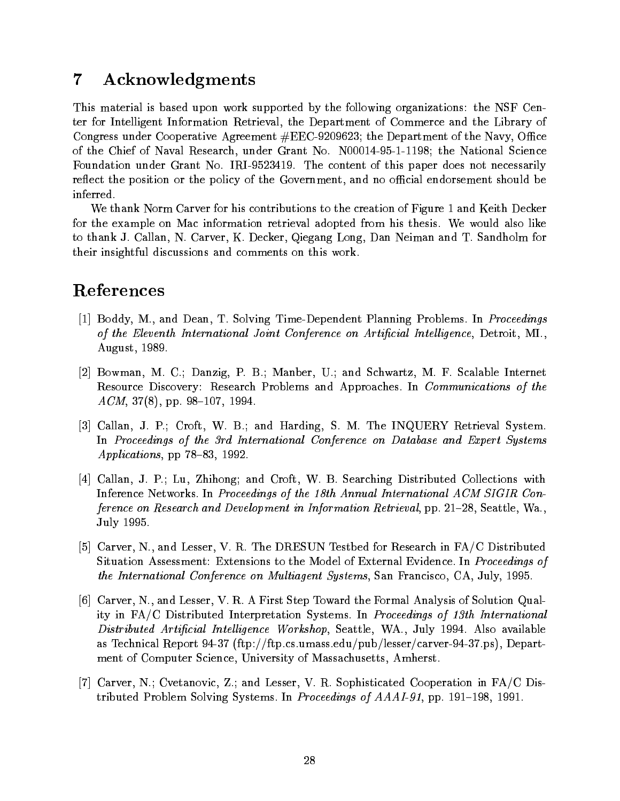## **Acknowledgments** 7

This material is based upon work supported by the following organizations: the NSF Center for Intelligent Information Retrieval, the Department of Commerce and the Library of Congress under Cooperative Agreement  $\#EEC-9209623$ ; the Department of the Navy, Office of the Chief of Naval Research, under Grant No. N00014-95-1-1198; the National Science Foundation under Grant No. IRI-9523419. The content of this paper does not necessarily reflect the position or the policy of the Government, and no official endorsement should be inferred.

We thank Norm Carver for his contributions to the creation of Figure 1 and Keith Decker for the example on Mac information retrieval adopted from his thesis. We would also like to thank J. Callan, N. Carver, K. Decker, Qiegang Long, Dan Neiman and T. Sandholm for their insightful discussions and comments on this work.

## References

- [1] Boddy, M., and Dean, T. Solving Time-Dependent Planning Problems. In Proceedings of the Eleventh International Joint Conference on Artificial Intelligence, Detroit, MI., August, 1989.
- [2] Bowman, M. C.; Danzig, P. B.; Manber, U.; and Schwartz, M. F. Scalable Internet Resource Discovery: Research Problems and Approaches. In *Communications of the*  $ACM$ , 37(8), pp. 98-107, 1994.
- [3] Callan, J. P.; Croft, W. B.; and Harding, S. M. The INQUERY Retrieval System. In Proceedings of the 3rd International Conference on Database and Expert Systems Applications, pp  $78-83$ , 1992.
- [4] Callan, J. P.; Lu, Zhihong; and Croft, W. B. Searching Distributed Collections with Inference Networks. In Proceedings of the 18th Annual International ACM SIGIR Conference on Research and Development in Information Retrieval, pp. 21–28, Seattle, Wa., July 1995.
- [5] Carver, N., and Lesser, V. R. The DRESUN Testbed for Research in FA/C Distributed Situation Assessment: Extensions to the Model of External Evidence. In Proceedings of the International Conference on Multiagent Systems, San Francisco, CA, July, 1995.
- [6] Carver, N., and Lesser, V. R. A First Step Toward the Formal Analysis of Solution Quality in FA/C Distributed Interpretation Systems. In Proceedings of 13th International Distributed Artificial Intelligence Workshop, Seattle, WA., July 1994. Also available as Technical Report 94-37 (ftp://ftp.cs.umass.edu/pub/lesser/carver-94-37.ps), Department of Computer Science, University of Massachusetts, Amherst.
- [7] Carver, N.; Cvetanovic, Z.; and Lesser, V. R. Sophisticated Cooperation in FA/C Distributed Problem Solving Systems. In *Proceedings of AAAI-91*, pp. 191–198, 1991.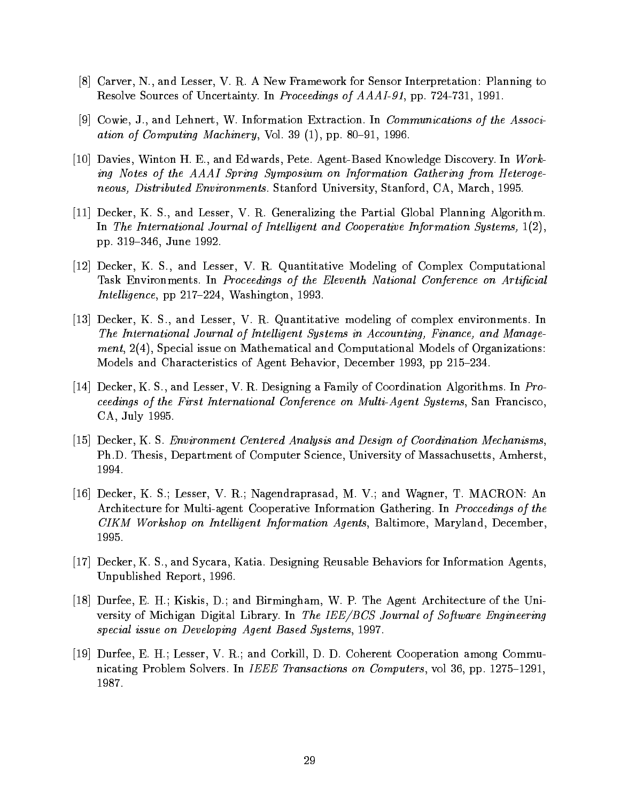- [8] Carver, N., and Lesser, V. R. A New Framework for Sensor Interpretation: Planning to Resolve Sources of Uncertainty. In Proceedings of AAAI-91, pp. 724-731, 1991.
- [9] Cowie, J., and Lehnert, W. Information Extraction. In Communications of the Association of Computing Machinery, Vol. 39  $(1)$ , pp. 80-91, 1996.
- [10] Davies, Winton H. E., and Edwards, Pete. Agent-Based Knowledge Discovery. In Working Notes of the AAAI Spring Symposium on Information Gathering from Heterogeneous, Distributed Environments. Stanford University, Stanford, CA, March, 1995.
- [11] Decker, K. S., and Lesser, V. R. Generalizing the Partial Global Planning Algorithm. In The International Journal of Intelligent and Cooperative Information Systems,  $1(2)$ , pp. 319-346, June 1992.
- [12] Decker, K. S., and Lesser, V. R. Quantitative Modeling of Complex Computational Task Environments. In Proceedings of the Eleventh National Conference on Artificial Intelligence, pp  $217-224$ , Washington, 1993.
- [13] Decker, K. S., and Lesser, V. R. Quantitative modeling of complex environments. In The International Journal of Intelligent Systems in Accounting, Finance, and Management, 2(4), Special issue on Mathematical and Computational Models of Organizations: Models and Characteristics of Agent Behavior, December 1993, pp 215–234.
- [14] Decker, K. S., and Lesser, V. R. Designing a Family of Coordination Algorithms. In Proceedings of the First International Conference on Multi-Agent Systems, San Francisco, CA, July 1995.
- [15] Decker, K. S. Environment Centered Analysis and Design of Coordination Mechanisms, Ph.D. Thesis, Department of Computer Science, University of Massachusetts, Amherst, 1994.
- [16] Decker, K. S.; Lesser, V. R.; Nagendraprasad, M. V.; and Wagner, T. MACRON: An Architecture for Multi-agent Cooperative Information Gathering. In Proccedings of the CIKM Workshop on Intelligent Information Agents, Baltimore, Maryland, December, 1995.
- [17] Decker, K. S., and Sycara, Katia. Designing Reusable Behaviors for Information Agents, Unpublished Report, 1996.
- [18] Durfee, E. H.; Kiskis, D.; and Birmingham, W. P. The Agent Architecture of the University of Michigan Digital Library. In The IEE/BCS Journal of Software Engineering special issue on Developing Agent Based Systems, 1997.
- [19] Durfee, E. H.; Lesser, V. R.; and Corkill, D. D. Coherent Cooperation among Communicating Problem Solvers. In IEEE Transactions on Computers, vol 36, pp. 1275-1291, 1987.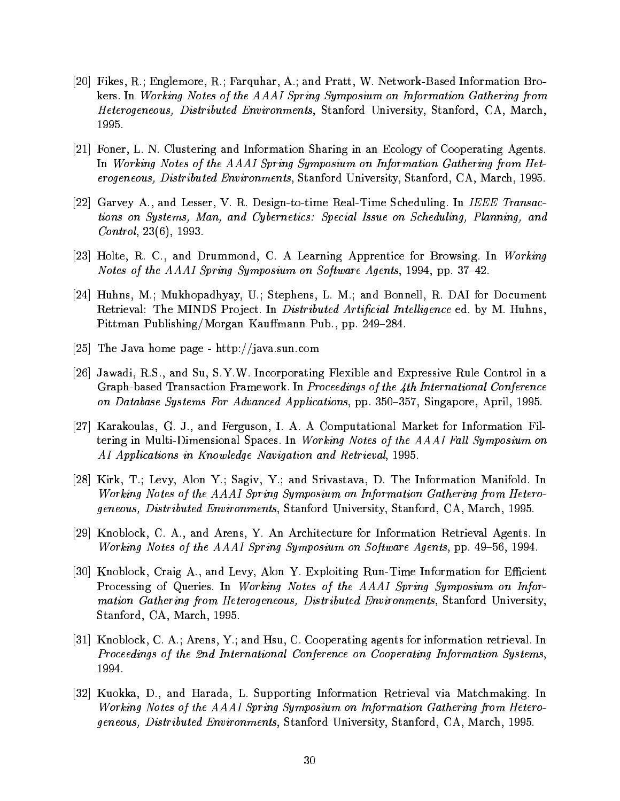- [20] Fikes, R.; Englemore, R.; Farquhar, A.; and Pratt, W. Network-Based Information Brokers. In Working Notes of the AAAI Spring Symposium on Information Gathering from Heterogeneous, Distributed Environments, Stanford University, Stanford, CA, March, 1995.
- [21] Foner, L. N. Clustering and Information Sharing in an Ecology of Cooperating Agents. In Working Notes of the AAAI Spring Symposium on Information Gathering from Heterogeneous, Distributed Environments, Stanford University, Stanford, CA, March, 1995.
- [22] Garvey A., and Lesser, V. R. Design-to-time Real-Time Scheduling. In IEEE Transactions on Systems, Man, and Cybernetics: Special Issue on Scheduling, Planning, and Control, 23(6), 1993.
- [23] Holte, R. C., and Drummond, C. A Learning Apprentice for Browsing. In Working Notes of the  $A A A I$  Spring Symposium on Software Agents, 1994, pp. 37-42.
- [24] Huhns, M.; Mukhopadhyay, U.; Stephens, L. M.; and Bonnell, R. DAI for Document Retrieval: The MINDS Project. In *Distributed Artificial Intelligence* ed. by M. Huhns, Pittman Publishing/Morgan Kauffmann Pub., pp. 249-284.
- [25] The Java home page http://java.sun.com
- [26] Jawadi, R.S., and Su, S.Y.W. Incorporating Flexible and Expressive Rule Control in a Graph-based Transaction Framework. In Proceedings of the 4th International Conference on Database Systems For Advanced Applications, pp. 350-357, Singapore, April, 1995.
- [27] Karakoulas, G. J., and Ferguson, I. A. A Computational Market for Information Filtering in Multi-Dimensional Spaces. In Working Notes of the AAAI Fall Symposium on AI Applications in Knowledge Navigation and Retrieval, 1995.
- [28] Kirk, T.; Levy, Alon Y.; Sagiv, Y.; and Srivastava, D. The Information Manifold. In Working Notes of the AAAI Spring Symposium on Information Gathering from Heterogeneous, Distributed Environments, Stanford University, Stanford, CA, March, 1995.
- [29] Knoblock, C. A., and Arens, Y. An Architecture for Information Retrieval Agents. In Working Notes of the  $AAAI$  Spring Symposium on Software Agents, pp. 49–56, 1994.
- [30] Knoblock, Craig A., and Levy, Alon Y. Exploiting Run-Time Information for Efficient Processing of Queries. In Working Notes of the AAAI Spring Symposium on Information Gathering from Heterogeneous, Distributed Environments, Stanford University, Stanford, CA, March, 1995.
- [31] Knoblock, C. A.; Arens, Y.; and Hsu, C. Cooperating agents for information retrieval. In Proceedings of the 2nd International Conference on Cooperating Information Systems, 1994.
- [32] Kuokka, D., and Harada, L. Supporting Information Retrieval via Matchmaking. In Working Notes of the AAAI Spring Symposium on Information Gathering from Heterogeneous, Distributed Environments, Stanford University, Stanford, CA, March, 1995.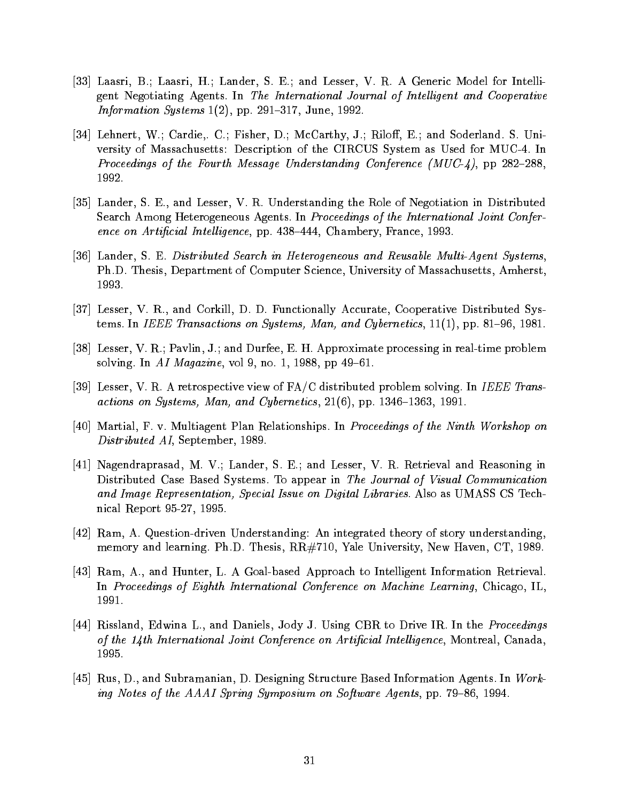- [33] Laasri, B.; Laasri, H.; Lander, S. E.; and Lesser, V. R. A Generic Model for Intelligent Negotiating Agents. In The International Journal of Intelligent and Cooperative Information Systems  $1(2)$ , pp. 291-317, June, 1992.
- [34] Lehnert, W.; Cardie,. C.; Fisher, D.; McCarthy, J.; Riloff, E.; and Soderland. S. University of Massachusetts: Description of the CIRCUS System as Used for MUC-4. In Proceedings of the Fourth Message Understanding Conference  $(MUC-4)$ , pp 282-288, 1992.
- [35] Lander, S. E., and Lesser, V. R. Understanding the Role of Negotiation in Distributed Search Among Heterogeneous Agents. In *Proceedings of the International Joint Confer*ence on Artificial Intelligence, pp. 438-444, Chambery, France, 1993.
- [36] Lander, S. E. Distributed Search in Heterogeneous and Reusable Multi-Agent Systems, Ph.D. Thesis, Department of Computer Science, University of Massachusetts, Amherst, 1993.
- [37] Lesser, V. R., and Corkill, D. D. Functionally Accurate, Cooperative Distributed Systems. In IEEE Transactions on Systems, Man, and Cybernetics,  $11(1)$ , pp. 81-96, 1981.
- [38] Lesser, V. R.; Pavlin, J.; and Durfee, E. H. Approximate processing in real-time problem solving. In AI Magazine, vol 9, no. 1, 1988, pp  $49-61$ .
- [39] Lesser, V. R. A retrospective view of  $FA/C$  distributed problem solving. In *IEEE Trans*actions on Systems, Man, and Cybernetics,  $21(6)$ , pp. 1346-1363, 1991.
- [40] Martial, F. v. Multiagent Plan Relationships. In Proceedings of the Ninth Workshop on Distributed AI, September, 1989.
- [41] Nagendraprasad, M. V.; Lander, S. E.; and Lesser, V. R. Retrieval and Reasoning in Distributed Case Based Systems. To appear in The Journal of Visual Communication and Image Representation, Special Issue on Digital Libraries. Also as UMASS CS Technical Report 95-27, 1995.
- [42] Ram, A. Question-driven Understanding: An integrated theory of story understanding, memory and learning. Ph.D. Thesis, RR#710, Yale University, New Haven, CT, 1989.
- [43] Ram, A., and Hunter, L. A Goal-based Approach to Intelligent Information Retrieval. In Proceedings of Eighth International Conference on Machine Learning, Chicago, IL, 1991.
- [44] Rissland, Edwina L., and Daniels, Jody J. Using CBR to Drive IR. In the *Proceedings* of the 14th International Joint Conference on Artificial Intelligence, Montreal, Canada, 1995.
- [45] Rus, D., and Subramanian, D. Designing Structure Based Information Agents. In Working Notes of the AAAI Spring Symposium on Software Agents, pp. 79-86, 1994.